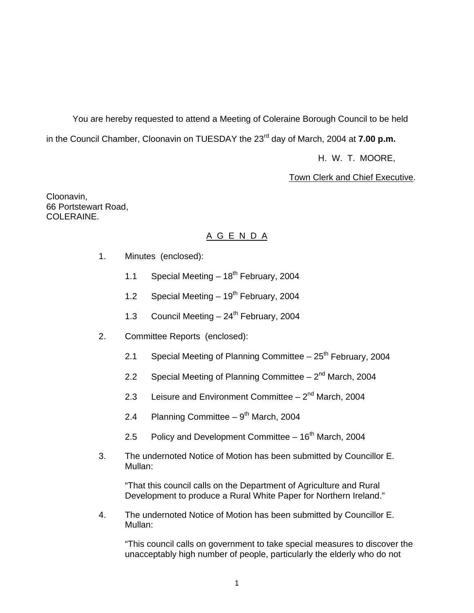You are hereby requested to attend a Meeting of Coleraine Borough Council to be held in the Council Chamber, Cloonavin on TUESDAY the 23<sup>rd</sup> day of March, 2004 at **7.00 p.m.** 

H. W. T. MOORE,

**Town Clerk and Chief Executive.** 

Cloonavin, 66 Portstewart Road, COLERAINE.

# A G E N D A

- 1. Minutes (enclosed):
	- 1.1 Special Meeting  $-18^{th}$  February, 2004
	- 1.2 Special Meeting  $-19^{th}$  February, 2004
	- 1.3 Council Meeting  $-24^{\text{th}}$  February, 2004
- 2. Committee Reports (enclosed):
	- 2.1 Special Meeting of Planning Committee  $-25<sup>th</sup>$  February, 2004
	- 2.2 Special Meeting of Planning Committee  $-2^{nd}$  March, 2004
	- 2.3 Leisure and Environment Committee  $-2^{nd}$  March, 2004
	- 2.4 Planning Committee  $9<sup>th</sup>$  March, 2004
	- 2.5 Policy and Development Committee  $-16<sup>th</sup>$  March, 2004
- 3. The undernoted Notice of Motion has been submitted by Councillor E. Mullan:

 "That this council calls on the Department of Agriculture and Rural Development to produce a Rural White Paper for Northern Ireland."

4. The undernoted Notice of Motion has been submitted by Councillor E. Mullan:

 "This council calls on government to take special measures to discover the unacceptably high number of people, particularly the elderly who do not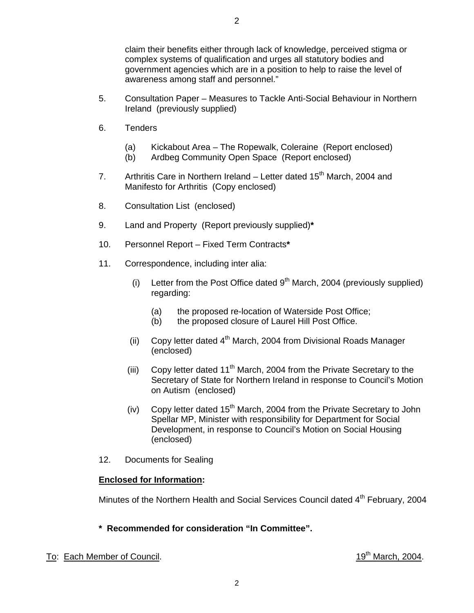claim their benefits either through lack of knowledge, perceived stigma or complex systems of qualification and urges all statutory bodies and government agencies which are in a position to help to raise the level of awareness among staff and personnel."

- 5. Consultation Paper Measures to Tackle Anti-Social Behaviour in Northern Ireland (previously supplied)
- 6. Tenders
	- (a) Kickabout Area The Ropewalk, Coleraine (Report enclosed)
	- (b) Ardbeg Community Open Space (Report enclosed)
- 7. Arthritis Care in Northern Ireland Letter dated  $15<sup>th</sup>$  March, 2004 and Manifesto for Arthritis (Copy enclosed)
- 8. Consultation List (enclosed)
- 9. Land and Property (Report previously supplied)**\***
- 10. Personnel Report Fixed Term Contracts**\***
- 11. Correspondence, including inter alia:
	- (i) Letter from the Post Office dated  $9<sup>th</sup>$  March, 2004 (previously supplied) regarding:
		- (a) the proposed re-location of Waterside Post Office;
		- (b) the proposed closure of Laurel Hill Post Office.
	- (ii) Copy letter dated  $4<sup>th</sup>$  March, 2004 from Divisional Roads Manager (enclosed)
	- (iii) Copy letter dated  $11<sup>th</sup>$  March, 2004 from the Private Secretary to the Secretary of State for Northern Ireland in response to Council's Motion on Autism (enclosed)
	- (iv) Copy letter dated  $15<sup>th</sup>$  March, 2004 from the Private Secretary to John Spellar MP, Minister with responsibility for Department for Social Development, in response to Council's Motion on Social Housing (enclosed)
- 12. Documents for Sealing

#### **Enclosed for Information:**

Minutes of the Northern Health and Social Services Council dated 4<sup>th</sup> February, 2004

- **\* Recommended for consideration "In Committee".**
- To: Each Member of Council.  $19^{th}$  March, 2004.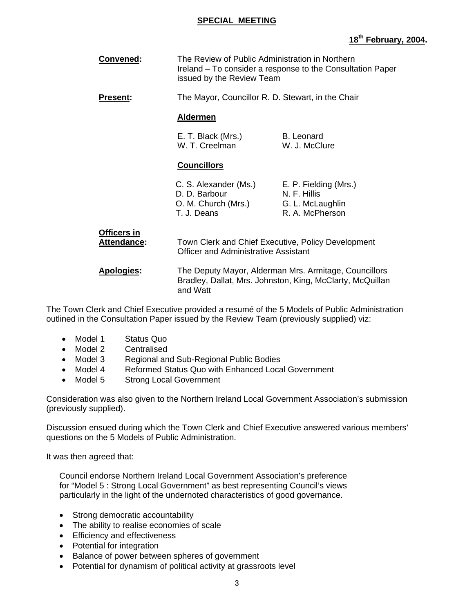#### **SPECIAL MEETING**

# **18th February, 2004.**

| Convened:                  | The Review of Public Administration in Northern<br>Ireland – To consider a response to the Consultation Paper<br>issued by the Review Team |                                                                              |
|----------------------------|--------------------------------------------------------------------------------------------------------------------------------------------|------------------------------------------------------------------------------|
| <b>Present:</b>            | The Mayor, Councillor R. D. Stewart, in the Chair                                                                                          |                                                                              |
|                            | <b>Aldermen</b>                                                                                                                            |                                                                              |
|                            | E. T. Black (Mrs.)<br>W. T. Creelman                                                                                                       | B. Leonard<br>W. J. McClure                                                  |
|                            | <b>Councillors</b>                                                                                                                         |                                                                              |
|                            | C. S. Alexander (Ms.)<br>D. D. Barbour<br>O. M. Church (Mrs.)<br>T. J. Deans                                                               | E. P. Fielding (Mrs.)<br>N. F. Hillis<br>G. L. McLaughlin<br>R. A. McPherson |
| Officers in<br>Attendance: | Town Clerk and Chief Executive, Policy Development<br>Officer and Administrative Assistant                                                 |                                                                              |
| <b>Apologies:</b>          | The Deputy Mayor, Alderman Mrs. Armitage, Councillors<br>Bradley, Dallat, Mrs. Johnston, King, McClarty, McQuillan<br>and Watt             |                                                                              |

The Town Clerk and Chief Executive provided a resumé of the 5 Models of Public Administration outlined in the Consultation Paper issued by the Review Team (previously supplied) viz:

- Model 1 Status Quo
- Model 2 Centralised
- Model 3 Regional and Sub-Regional Public Bodies
- Model 4 Reformed Status Quo with Enhanced Local Government
- Model 5 Strong Local Government

Consideration was also given to the Northern Ireland Local Government Association's submission (previously supplied).

Discussion ensued during which the Town Clerk and Chief Executive answered various members' questions on the 5 Models of Public Administration.

It was then agreed that:

Council endorse Northern Ireland Local Government Association's preference for "Model 5 : Strong Local Government" as best representing Council's views particularly in the light of the undernoted characteristics of good governance.

- Strong democratic accountability
- The ability to realise economies of scale
- Efficiency and effectiveness
- Potential for integration
- Balance of power between spheres of government
- Potential for dynamism of political activity at grassroots level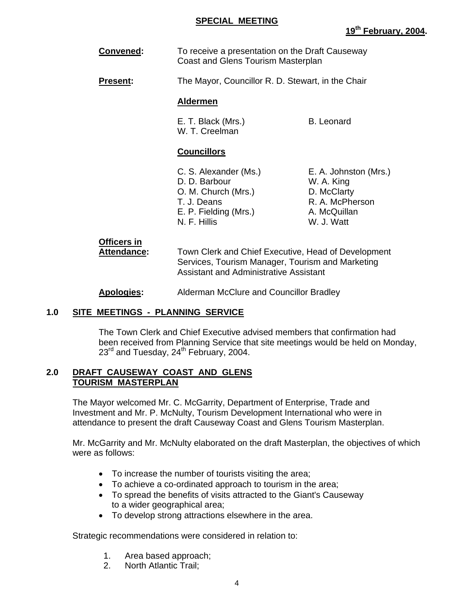#### **SPECIAL MEETING**

#### **Convened:** To receive a presentation on the Draft Causeway Coast and Glens Tourism Masterplan

**Present:** The Mayor, Councillor R. D. Stewart, in the Chair

#### **Aldermen**

E. T. Black (Mrs.) B. Leonard W. T. Creelman

### **Councillors**

- C. S. Alexander (Ms.) E. A. Johnston (Mrs.) D. D. Barbour W. A. King O. M. Church (Mrs.) D. McClarty T. J. Deans R. A. McPherson E. P. Fielding (Mrs.) A. McQuillan N. F. Hillis W. J. Watt
- 

# **Officers in**

 **Attendance:** Town Clerk and Chief Executive, Head of Development Services, Tourism Manager, Tourism and Marketing Assistant and Administrative Assistant

**Apologies:** Alderman McClure and Councillor Bradley

# **1.0 SITE MEETINGS - PLANNING SERVICE**

 The Town Clerk and Chief Executive advised members that confirmation had been received from Planning Service that site meetings would be held on Monday, 23<sup>rd</sup> and Tuesday, 24<sup>th</sup> February, 2004.

#### **2.0 DRAFT CAUSEWAY COAST AND GLENS TOURISM MASTERPLAN**

 The Mayor welcomed Mr. C. McGarrity, Department of Enterprise, Trade and Investment and Mr. P. McNulty, Tourism Development International who were in attendance to present the draft Causeway Coast and Glens Tourism Masterplan.

Mr. McGarrity and Mr. McNulty elaborated on the draft Masterplan, the objectives of which were as follows:

- To increase the number of tourists visiting the area;
- To achieve a co-ordinated approach to tourism in the area;
- To spread the benefits of visits attracted to the Giant's Causeway to a wider geographical area;
- To develop strong attractions elsewhere in the area.

Strategic recommendations were considered in relation to:

- 1. Area based approach;
- 2. North Atlantic Trail;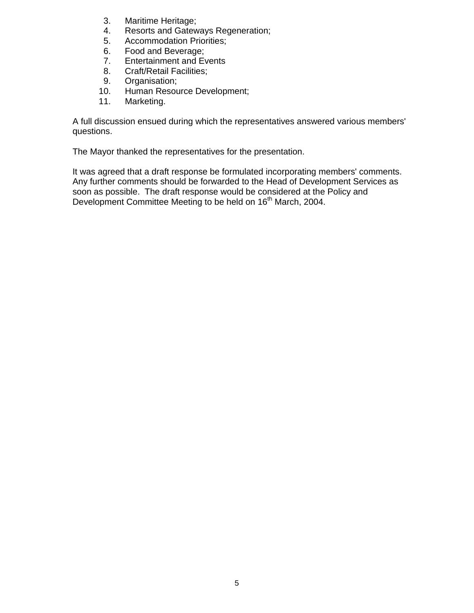- 3. Maritime Heritage;
- 4. Resorts and Gateways Regeneration;
- 5. Accommodation Priorities;
- 6. Food and Beverage;
- 7. Entertainment and Events
- 8. Craft/Retail Facilities;
- 9. Organisation;
- 10. Human Resource Development;
- 11. Marketing.

A full discussion ensued during which the representatives answered various members' questions.

The Mayor thanked the representatives for the presentation.

It was agreed that a draft response be formulated incorporating members' comments. Any further comments should be forwarded to the Head of Development Services as soon as possible. The draft response would be considered at the Policy and Development Committee Meeting to be held on 16<sup>th</sup> March, 2004.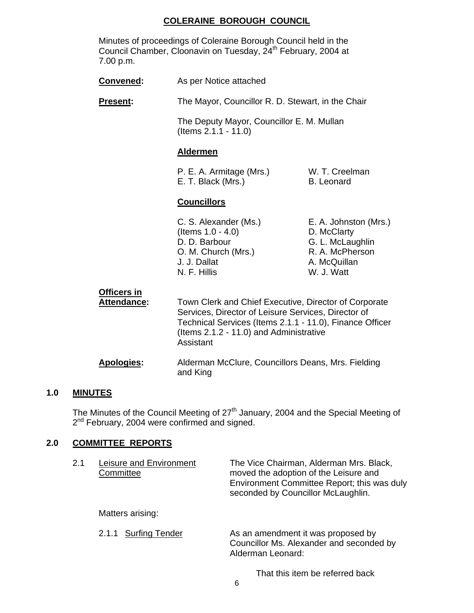# **COLERAINE BOROUGH COUNCIL**

| Minutes of proceedings of Coleraine Borough Council held in the           |
|---------------------------------------------------------------------------|
| Council Chamber, Cloonavin on Tuesday, 24 <sup>th</sup> February, 2004 at |
| 7.00 p.m.                                                                 |

| <b>Convened:</b>                  | As per Notice attached                                                                                                                                                                                                           |                                                                                                           |
|-----------------------------------|----------------------------------------------------------------------------------------------------------------------------------------------------------------------------------------------------------------------------------|-----------------------------------------------------------------------------------------------------------|
| <b>Present:</b>                   | The Mayor, Councillor R. D. Stewart, in the Chair                                                                                                                                                                                |                                                                                                           |
|                                   | The Deputy Mayor, Councillor E. M. Mullan<br>$($ ltems $2.1.1 - 11.0)$                                                                                                                                                           |                                                                                                           |
|                                   | <b>Aldermen</b>                                                                                                                                                                                                                  |                                                                                                           |
|                                   | P. E. A. Armitage (Mrs.)<br>E. T. Black (Mrs.)                                                                                                                                                                                   | W. T. Creelman<br><b>B.</b> Leonard                                                                       |
|                                   | <b>Councillors</b>                                                                                                                                                                                                               |                                                                                                           |
|                                   | C. S. Alexander (Ms.)<br>(Items $1.0 - 4.0$ )<br>D. D. Barbour<br>O. M. Church (Mrs.)<br>J. J. Dallat<br>N. F. Hillis                                                                                                            | E. A. Johnston (Mrs.)<br>D. McClarty<br>G. L. McLaughlin<br>R. A. McPherson<br>A. McQuillan<br>W. J. Watt |
| <b>Officers in</b><br>Attendance: | Town Clerk and Chief Executive, Director of Corporate<br>Services, Director of Leisure Services, Director of<br>Technical Services (Items 2.1.1 - 11.0), Finance Officer<br>(Items 2.1.2 - 11.0) and Administrative<br>Assistant |                                                                                                           |
| <b>Apologies:</b>                 | Alderman McClure, Councillors Deans, Mrs. Fielding<br>and King                                                                                                                                                                   |                                                                                                           |

# **1.0 MINUTES**

The Minutes of the Council Meeting of  $27<sup>th</sup>$  January, 2004 and the Special Meeting of 2<sup>nd</sup> February, 2004 were confirmed and signed.

# **2.0 COMMITTEE REPORTS**

| 2.1 | Leisure and Environment<br>Committee | The Vice Chairman, Alderman Mrs. Black,<br>moved the adoption of the Leisure and<br>Environment Committee Report; this was duly<br>seconded by Councillor McLaughlin. |
|-----|--------------------------------------|-----------------------------------------------------------------------------------------------------------------------------------------------------------------------|
|     | Matters arising:                     |                                                                                                                                                                       |
|     | 2.1.1 Surfing Tender                 | As an amendment it was proposed by<br>Councillor Ms. Alexander and seconded by<br>Alderman Leonard:                                                                   |
|     |                                      | That this item be referred back                                                                                                                                       |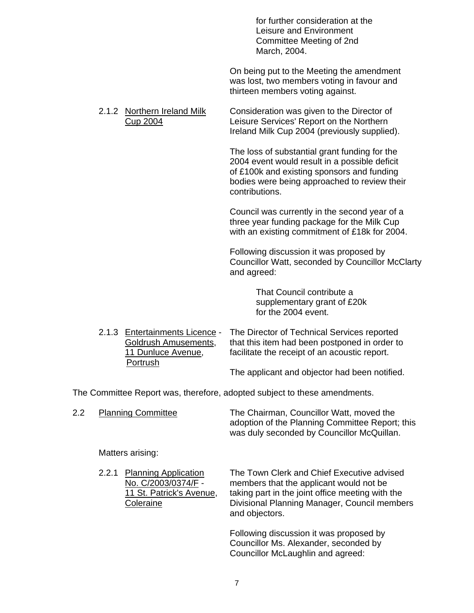for further consideration at the Leisure and Environment Committee Meeting of 2nd March, 2004.

 On being put to the Meeting the amendment was lost, two members voting in favour and thirteen members voting against.

 2.1.2 Northern Ireland Milk Consideration was given to the Director of Cup 2004 Leisure Services' Report on the Northern Ireland Milk Cup 2004 (previously supplied).

> The loss of substantial grant funding for the 2004 event would result in a possible deficit of £100k and existing sponsors and funding bodies were being approached to review their contributions.

> Council was currently in the second year of a three year funding package for the Milk Cup with an existing commitment of £18k for 2004.

Following discussion it was proposed by Councillor Watt, seconded by Councillor McClarty and agreed:

> That Council contribute a supplementary grant of £20k for the 2004 event.

 2.1.3 Entertainments Licence - The Director of Technical Services reported Goldrush Amusements, that this item had been postponed in order to 11 Dunluce Avenue, facilitate the receipt of an acoustic report. Portrush The applicant and objector had been notified.

The Committee Report was, therefore, adopted subject to these amendments.

| 2.2 |       | <b>Planning Committee</b>                                                                   | The Chairman, Councillor Watt, moved the<br>adoption of the Planning Committee Report; this<br>was duly seconded by Councillor McQuillan.                                                                   |
|-----|-------|---------------------------------------------------------------------------------------------|-------------------------------------------------------------------------------------------------------------------------------------------------------------------------------------------------------------|
|     |       | Matters arising:                                                                            |                                                                                                                                                                                                             |
|     | 2.2.1 | <b>Planning Application</b><br>No. C/2003/0374/F -<br>11 St. Patrick's Avenue,<br>Coleraine | The Town Clerk and Chief Executive advised<br>members that the applicant would not be<br>taking part in the joint office meeting with the<br>Divisional Planning Manager, Council members<br>and objectors. |
|     |       |                                                                                             | Following discussion it was proposed by                                                                                                                                                                     |

 Following discussion it was proposed by Councillor Ms. Alexander, seconded by Councillor McLaughlin and agreed: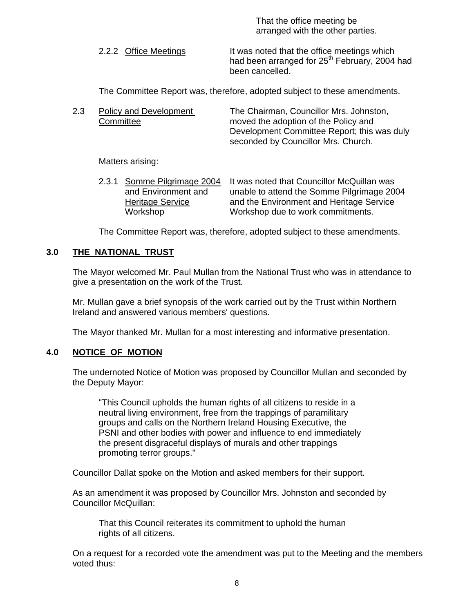That the office meeting be arranged with the other parties.

2.2.2 Office Meetings It was noted that the office meetings which had been arranged for 25<sup>th</sup> February, 2004 had been cancelled.

The Committee Report was, therefore, adopted subject to these amendments.

 2.3 Policy and Development The Chairman, Councillor Mrs. Johnston, Committee moved the adoption of the Policy and Development Committee Report; this was duly seconded by Councillor Mrs. Church.

Matters arising:

 2.3.1 Somme Pilgrimage 2004 It was noted that Councillor McQuillan was and Environment and unable to attend the Somme Pilgrimage 2004 Heritage Service **and the Environment and Heritage Service** Workshop Workshop due to work commitments.

The Committee Report was, therefore, adopted subject to these amendments.

### **3.0 THE NATIONAL TRUST**

 The Mayor welcomed Mr. Paul Mullan from the National Trust who was in attendance to give a presentation on the work of the Trust.

Mr. Mullan gave a brief synopsis of the work carried out by the Trust within Northern Ireland and answered various members' questions.

The Mayor thanked Mr. Mullan for a most interesting and informative presentation.

#### **4.0 NOTICE OF MOTION**

 The undernoted Notice of Motion was proposed by Councillor Mullan and seconded by the Deputy Mayor:

 "This Council upholds the human rights of all citizens to reside in a neutral living environment, free from the trappings of paramilitary groups and calls on the Northern Ireland Housing Executive, the PSNI and other bodies with power and influence to end immediately the present disgraceful displays of murals and other trappings promoting terror groups."

Councillor Dallat spoke on the Motion and asked members for their support.

As an amendment it was proposed by Councillor Mrs. Johnston and seconded by Councillor McQuillan:

 That this Council reiterates its commitment to uphold the human rights of all citizens.

On a request for a recorded vote the amendment was put to the Meeting and the members voted thus: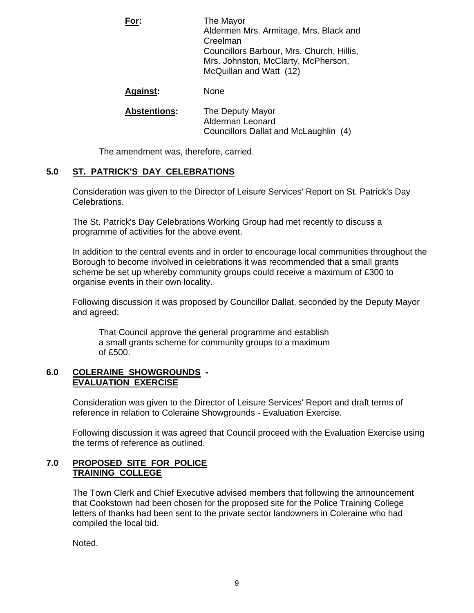| For:                | The Mayor<br>Aldermen Mrs. Armitage, Mrs. Black and<br>Creelman<br>Councillors Barbour, Mrs. Church, Hillis,<br>Mrs. Johnston, McClarty, McPherson,<br>McQuillan and Watt (12) |
|---------------------|--------------------------------------------------------------------------------------------------------------------------------------------------------------------------------|
| <b>Against:</b>     | None                                                                                                                                                                           |
| <b>Abstentions:</b> | The Deputy Mayor<br>Alderman Leonard<br>Councillors Dallat and McLaughlin (4)                                                                                                  |

The amendment was, therefore, carried.

# **5.0 ST. PATRICK'S DAY CELEBRATIONS**

 Consideration was given to the Director of Leisure Services' Report on St. Patrick's Day Celebrations.

The St. Patrick's Day Celebrations Working Group had met recently to discuss a programme of activities for the above event.

In addition to the central events and in order to encourage local communities throughout the Borough to become involved in celebrations it was recommended that a small grants scheme be set up whereby community groups could receive a maximum of £300 to organise events in their own locality.

Following discussion it was proposed by Councillor Dallat, seconded by the Deputy Mayor and agreed:

 That Council approve the general programme and establish a small grants scheme for community groups to a maximum of £500.

#### **6.0 COLERAINE SHOWGROUNDS - EVALUATION EXERCISE**

 Consideration was given to the Director of Leisure Services' Report and draft terms of reference in relation to Coleraine Showgrounds - Evaluation Exercise.

Following discussion it was agreed that Council proceed with the Evaluation Exercise using the terms of reference as outlined.

#### **7.0 PROPOSED SITE FOR POLICE TRAINING COLLEGE**

The Town Clerk and Chief Executive advised members that following the announcement that Cookstown had been chosen for the proposed site for the Police Training College letters of thanks had been sent to the private sector landowners in Coleraine who had compiled the local bid.

Noted.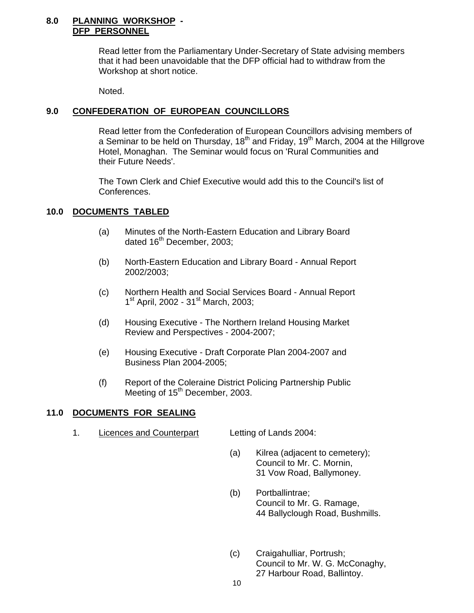#### **8.0 PLANNING WORKSHOP - DFP PERSONNEL**

 Read letter from the Parliamentary Under-Secretary of State advising members that it had been unavoidable that the DFP official had to withdraw from the Workshop at short notice.

Noted.

## **9.0 CONFEDERATION OF EUROPEAN COUNCILLORS**

 Read letter from the Confederation of European Councillors advising members of a Seminar to be held on Thursday,  $18<sup>th</sup>$  and Friday,  $19<sup>th</sup>$  March, 2004 at the Hillgrove Hotel, Monaghan. The Seminar would focus on 'Rural Communities and their Future Needs'.

The Town Clerk and Chief Executive would add this to the Council's list of Conferences.

### **10.0 DOCUMENTS TABLED**

- (a) Minutes of the North-Eastern Education and Library Board dated  $16<sup>th</sup>$  December, 2003;
- (b) North-Eastern Education and Library Board Annual Report 2002/2003;
- (c) Northern Health and Social Services Board Annual Report 1<sup>st</sup> April, 2002 - 31<sup>st</sup> March, 2003;
- (d) Housing Executive The Northern Ireland Housing Market Review and Perspectives - 2004-2007;
- (e) Housing Executive Draft Corporate Plan 2004-2007 and Business Plan 2004-2005;
- (f) Report of the Coleraine District Policing Partnership Public Meeting of 15<sup>th</sup> December, 2003.

#### **11.0 DOCUMENTS FOR SEALING**

1. Licences and Counterpart Letting of Lands 2004:

- (a) Kilrea (adjacent to cemetery); Council to Mr. C. Mornin, 31 Vow Road, Ballymoney.
- (b) Portballintrae; Council to Mr. G. Ramage, 44 Ballyclough Road, Bushmills.
- (c) Craigahulliar, Portrush; Council to Mr. W. G. McConaghy, 27 Harbour Road, Ballintoy.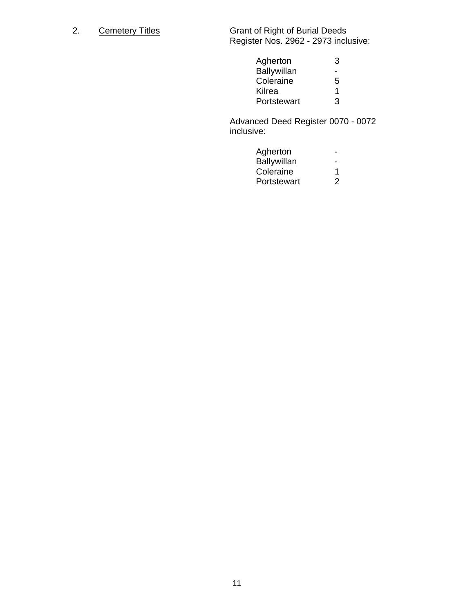2. Cemetery Titles Grant of Right of Burial Deeds Register Nos. 2962 - 2973 inclusive:

| Agherton    |   |
|-------------|---|
| Ballywillan |   |
| Coleraine   | 5 |
| Kilrea      |   |
| Portstewart | 2 |

 Advanced Deed Register 0070 - 0072 inclusive:

| Agherton    | $\sim$ 10 $\,$ |
|-------------|----------------|
| Ballywillan | $\sim$         |
| Coleraine   |                |
| Portstewart | $\overline{2}$ |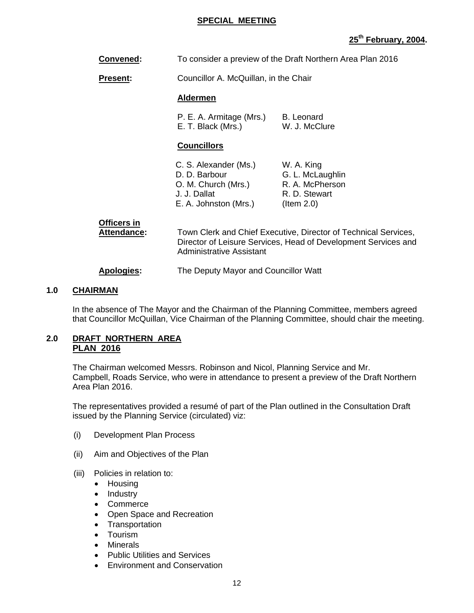#### **SPECIAL MEETING**

# **25th February, 2004.**

**Convened:** To consider a preview of the Draft Northern Area Plan 2016

**Present:** Councillor A. McQuillan, in the Chair

#### **Aldermen**

P. E. A. Armitage (Mrs.) B. Leonard E. T. Black (Mrs.) W. J. McClure

#### **Councillors**

| C. S. Alexander (Ms.) | W. A. King       |
|-----------------------|------------------|
| D. D. Barbour         | G. L. McLaughlin |
| O. M. Church (Mrs.)   | R. A. McPherson  |
| J. J. Dallat          | R. D. Stewart    |
| E. A. Johnston (Mrs.) | $($ ltem 2.0 $)$ |

# **Officers in**

 **Attendance:** Town Clerk and Chief Executive, Director of Technical Services, Director of Leisure Services, Head of Development Services and Administrative Assistant

#### **Apologies:** The Deputy Mayor and Councillor Watt

#### **1.0 CHAIRMAN**

In the absence of The Mayor and the Chairman of the Planning Committee, members agreed that Councillor McQuillan, Vice Chairman of the Planning Committee, should chair the meeting.

#### **2.0 DRAFT NORTHERN AREA PLAN 2016**

 The Chairman welcomed Messrs. Robinson and Nicol, Planning Service and Mr. Campbell, Roads Service, who were in attendance to present a preview of the Draft Northern Area Plan 2016.

The representatives provided a resumé of part of the Plan outlined in the Consultation Draft issued by the Planning Service (circulated) viz:

- (i) Development Plan Process
- (ii) Aim and Objectives of the Plan
- (iii) Policies in relation to:
	- Housing
	- Industry
	- Commerce
	- Open Space and Recreation
	- Transportation
	- Tourism
	- Minerals
	- Public Utilities and Services
	- Environment and Conservation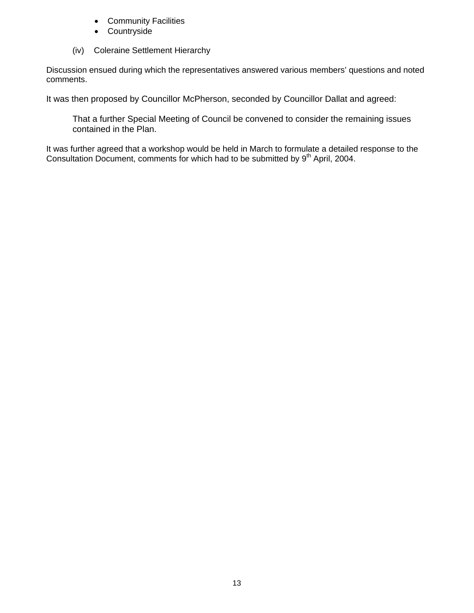- Community Facilities
- Countryside
- (iv) Coleraine Settlement Hierarchy

Discussion ensued during which the representatives answered various members' questions and noted comments.

It was then proposed by Councillor McPherson, seconded by Councillor Dallat and agreed:

That a further Special Meeting of Council be convened to consider the remaining issues contained in the Plan.

It was further agreed that a workshop would be held in March to formulate a detailed response to the Consultation Document, comments for which had to be submitted by 9<sup>th</sup> April, 2004.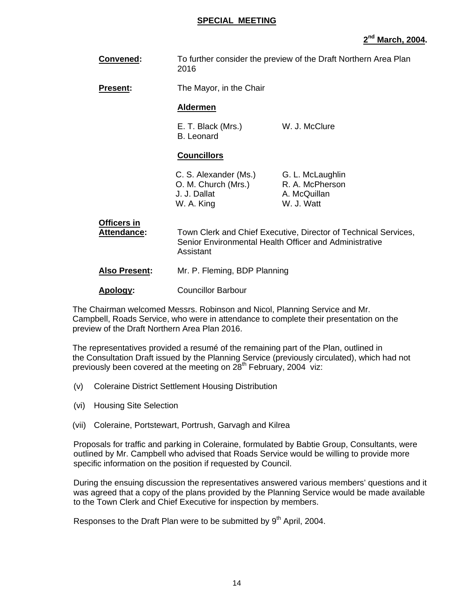#### **SPECIAL MEETING**

# **2nd March, 2004.**

| Convened:                         | To further consider the preview of the Draft Northern Area Plan<br>2016                                                                                                                      |                                                                   |
|-----------------------------------|----------------------------------------------------------------------------------------------------------------------------------------------------------------------------------------------|-------------------------------------------------------------------|
| <b>Present:</b>                   | The Mayor, in the Chair                                                                                                                                                                      |                                                                   |
|                                   | <b>Aldermen</b>                                                                                                                                                                              |                                                                   |
|                                   | E. T. Black (Mrs.)<br><b>B.</b> Leonard                                                                                                                                                      | W. J. McClure                                                     |
|                                   | <b>Councillors</b>                                                                                                                                                                           |                                                                   |
|                                   | C. S. Alexander (Ms.)<br>O. M. Church (Mrs.)<br>J. J. Dallat<br>W. A. King                                                                                                                   | G. L. McLaughlin<br>R. A. McPherson<br>A. McQuillan<br>W. J. Watt |
| <b>Officers in</b><br>Attendance: | Town Clerk and Chief Executive, Director of Technical Services,<br>Senior Environmental Health Officer and Administrative<br>Assistant                                                       |                                                                   |
| <b>Also Present:</b>              | Mr. P. Fleming, BDP Planning                                                                                                                                                                 |                                                                   |
| Apology:                          | <b>Councillor Barbour</b>                                                                                                                                                                    |                                                                   |
|                                   | The Chairman welcomed Messrs. Robinson and Nicol, Planning Service and Mr.<br>. The first state $\bigcap$ is a strong to the contract of the state of the state of the state of the $\theta$ |                                                                   |

Campbell, Roads Service, who were in attendance to complete their presentation on the preview of the Draft Northern Area Plan 2016.

The representatives provided a resumé of the remaining part of the Plan, outlined in the Consultation Draft issued by the Planning Service (previously circulated), which had not previously been covered at the meeting on 28<sup>th</sup> February, 2004 viz:

- (v) Coleraine District Settlement Housing Distribution
- (vi) Housing Site Selection
- (vii) Coleraine, Portstewart, Portrush, Garvagh and Kilrea

Proposals for traffic and parking in Coleraine, formulated by Babtie Group, Consultants, were outlined by Mr. Campbell who advised that Roads Service would be willing to provide more specific information on the position if requested by Council.

During the ensuing discussion the representatives answered various members' questions and it was agreed that a copy of the plans provided by the Planning Service would be made available to the Town Clerk and Chief Executive for inspection by members.

Responses to the Draft Plan were to be submitted by  $9<sup>th</sup>$  April, 2004.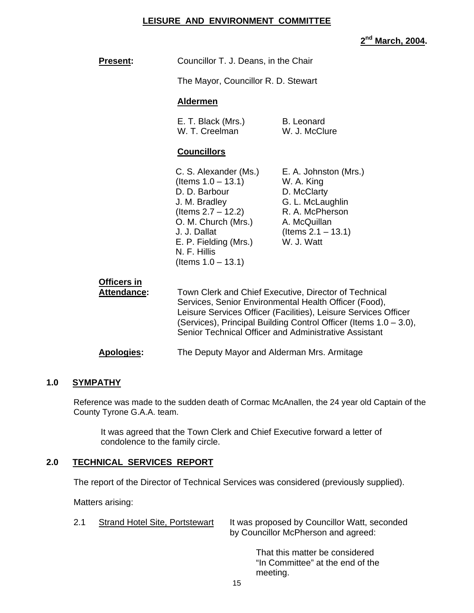#### **LEISURE AND ENVIRONMENT COMMITTEE**

**2nd March, 2004.** 

| <b>Present:</b>                          | Councillor T. J. Deans, in the Chair                                                                                                                                                                                                                                                                            |                                                                                                                                                  |
|------------------------------------------|-----------------------------------------------------------------------------------------------------------------------------------------------------------------------------------------------------------------------------------------------------------------------------------------------------------------|--------------------------------------------------------------------------------------------------------------------------------------------------|
|                                          | The Mayor, Councillor R. D. Stewart                                                                                                                                                                                                                                                                             |                                                                                                                                                  |
|                                          | <b>Aldermen</b>                                                                                                                                                                                                                                                                                                 |                                                                                                                                                  |
|                                          | E. T. Black (Mrs.)<br>W. T. Creelman                                                                                                                                                                                                                                                                            | <b>B.</b> Leonard<br>W. J. McClure                                                                                                               |
|                                          | <b>Councillors</b>                                                                                                                                                                                                                                                                                              |                                                                                                                                                  |
|                                          | C. S. Alexander (Ms.)<br>(Items $1.0 - 13.1$ )<br>D. D. Barbour<br>J. M. Bradley<br>(Items $2.7 - 12.2$ )<br>O. M. Church (Mrs.)<br>J. J. Dallat<br>E. P. Fielding (Mrs.)<br>N. F. Hillis<br>(Items $1.0 - 13.1$ )                                                                                              | E. A. Johnston (Mrs.)<br>W. A. King<br>D. McClarty<br>G. L. McLaughlin<br>R. A. McPherson<br>A. McQuillan<br>(Items $2.1 - 13.1$ )<br>W. J. Watt |
| <b>Officers in</b><br><b>Attendance:</b> | Town Clerk and Chief Executive, Director of Technical<br>Services, Senior Environmental Health Officer (Food),<br>Leisure Services Officer (Facilities), Leisure Services Officer<br>(Services), Principal Building Control Officer (Items 1.0 - 3.0),<br>Senior Technical Officer and Administrative Assistant |                                                                                                                                                  |
| <b>Apologies:</b>                        | The Deputy Mayor and Alderman Mrs. Armitage                                                                                                                                                                                                                                                                     |                                                                                                                                                  |

#### **1.0 SYMPATHY**

Reference was made to the sudden death of Cormac McAnallen, the 24 year old Captain of the County Tyrone G.A.A. team.

It was agreed that the Town Clerk and Chief Executive forward a letter of condolence to the family circle.

# **2.0 TECHNICAL SERVICES REPORT**

The report of the Director of Technical Services was considered (previously supplied).

Matters arising:

2.1 Strand Hotel Site, Portstewart It was proposed by Councillor Watt, seconded by Councillor McPherson and agreed:

> That this matter be considered "In Committee" at the end of the meeting.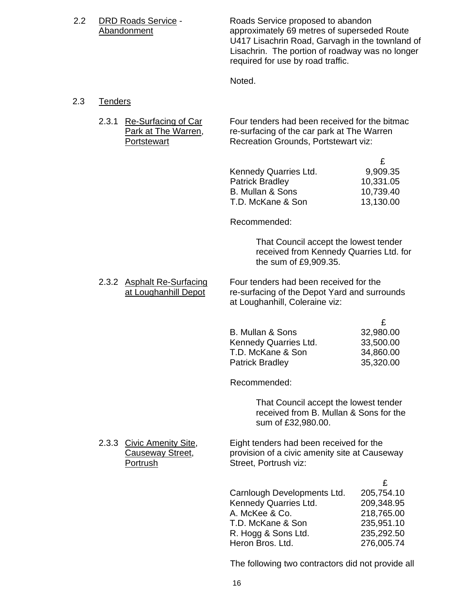2.2 DRD Roads Service - Roads Service proposed to abandon Abandonment **Abandonment** approximately 69 metres of superseded Route U417 Lisachrin Road, Garvagh in the townland of Lisachrin. The portion of roadway was no longer required for use by road traffic.

Noted.

### 2.3 Tenders

2.3.1 Re-Surfacing of Car Four tenders had been received for the bitmac Park at The Warren, re-surfacing of the car park at The Warren Portstewart Recreation Grounds, Portstewart viz:

| Kennedy Quarries Ltd.  | 9,909.35  |
|------------------------|-----------|
| <b>Patrick Bradley</b> | 10,331.05 |
| B. Mullan & Sons       | 10,739.40 |
| T.D. McKane & Son      | 13,130.00 |

Recommended:

 That Council accept the lowest tender received from Kennedy Quarries Ltd. for the sum of £9,909.35.

2.3.2 Asphalt Re-Surfacing Four tenders had been received for the at Loughanhill Depot re-surfacing of the Depot Yard and surrounds at Loughanhill, Coleraine viz:

| B. Mullan & Sons       | 32,980.00 |
|------------------------|-----------|
| Kennedy Quarries Ltd.  | 33,500.00 |
| T.D. McKane & Son      | 34,860.00 |
| <b>Patrick Bradley</b> | 35,320.00 |

Recommended:

 That Council accept the lowest tender received from B. Mullan & Sons for the sum of £32,980.00.

2.3.3 Civic Amenity Site, Eight tenders had been received for the Causeway Street, provision of a civic amenity site at Cause provision of a civic amenity site at Causeway Portrush Street, Portrush viz:

| Carnlough Developments Ltd. | 205,754.10 |
|-----------------------------|------------|
| Kennedy Quarries Ltd.       | 209,348.95 |
| A. McKee & Co.              | 218,765.00 |
| T.D. McKane & Son           | 235,951.10 |
| R. Hogg & Sons Ltd.         | 235,292.50 |
| Heron Bros. Ltd.            | 276,005.74 |

The following two contractors did not provide all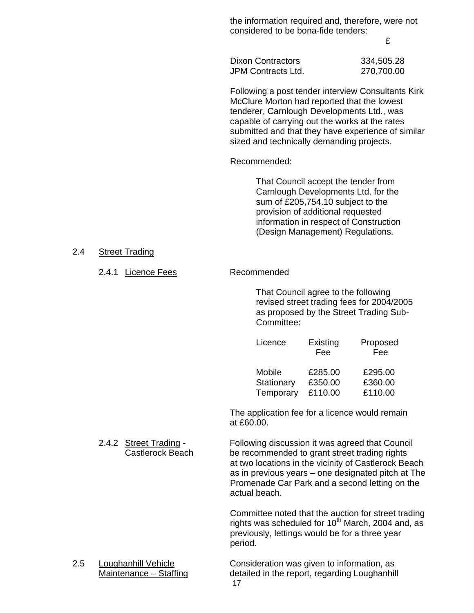the information required and, therefore, were not considered to be bona-fide tenders:

£

Dixon Contractors 334,505.28 JPM Contracts Ltd. 270,700.00

Following a post tender interview Consultants Kirk McClure Morton had reported that the lowest tenderer, Carnlough Developments Ltd., was capable of carrying out the works at the rates submitted and that they have experience of similar sized and technically demanding projects.

Recommended:

 That Council accept the tender from Carnlough Developments Ltd. for the sum of £205,754.10 subject to the provision of additional requested information in respect of Construction (Design Management) Regulations.

#### 2.4 Street Trading

#### 2.4.1 Licence Fees Recommended

That Council agree to the following revised street trading fees for 2004/2005 as proposed by the Street Trading Sub-Committee:

| Licence | Existing<br>Fee                  | Proposed<br>Fee    |
|---------|----------------------------------|--------------------|
| Mobile  | £285.00<br>Stationary<br>£350.00 | £295.00<br>£360.00 |
|         | Temporary £110.00                | £110.00            |

 The application fee for a licence would remain at £60.00.

 2.4.2 Street Trading - Following discussion it was agreed that Council Castlerock Beach be recommended to grant street trading rights at two locations in the vicinity of Castlerock Beach as in previous years – one designated pitch at The Promenade Car Park and a second letting on the actual beach.

> Committee noted that the auction for street trading rights was scheduled for  $10^{th}$  March, 2004 and, as previously, lettings would be for a three year period.

17 2.5 Loughanhill Vehicle Consideration was given to information, as Maintenance – Staffing detailed in the report, regarding Loughanhill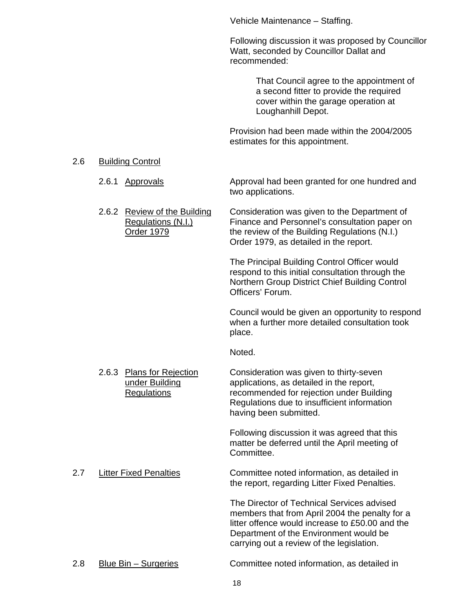Vehicle Maintenance – Staffing.

Following discussion it was proposed by Councillor Watt, seconded by Councillor Dallat and recommended:

> That Council agree to the appointment of a second fitter to provide the required cover within the garage operation at Loughanhill Depot.

 Provision had been made within the 2004/2005 estimates for this appointment.

#### 2.6 Building Control

- 2.6.1 Approvals Approval had been granted for one hundred and two applications.
- 2.6.2 Review of the Building Consideration was given to the Department of Regulations (N.I.) Finance and Personnel's consultation paper on Order 1979 the review of the Building Regulations (N.I.) Order 1979, as detailed in the report.

The Principal Building Control Officer would respond to this initial consultation through the Northern Group District Chief Building Control Officers' Forum.

Council would be given an opportunity to respond when a further more detailed consultation took place.

Noted.

2.6.3 Plans for Rejection Consideration was given to thirty-seven under Building applications, as detailed in the report, Regulations recommended for rejection under Building Regulations due to insufficient information having been submitted.

> Following discussion it was agreed that this matter be deferred until the April meeting of Committee.

2.7 Litter Fixed Penalties **Committee noted information, as detailed in** the report, regarding Litter Fixed Penalties.

> The Director of Technical Services advised members that from April 2004 the penalty for a litter offence would increase to £50.00 and the Department of the Environment would be carrying out a review of the legislation.

2.8 Blue Bin – Surgeries Committee noted information, as detailed in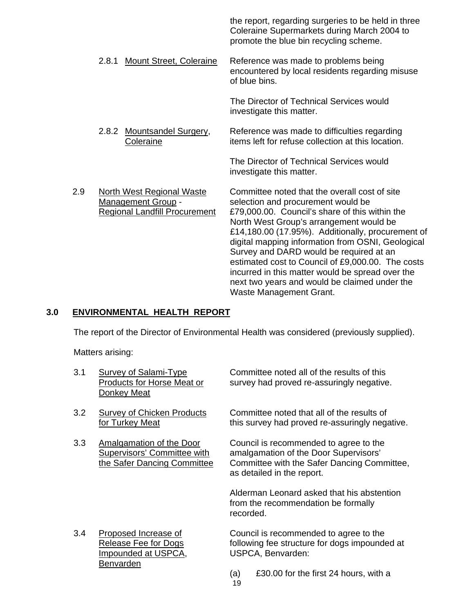the report, regarding surgeries to be held in three Coleraine Supermarkets during March 2004 to promote the blue bin recycling scheme.

2.8.1 Mount Street, Coleraine Reference was made to problems being encountered by local residents regarding misuse of blue bins.

> The Director of Technical Services would investigate this matter.

2.8.2 Mountsandel Surgery, Reference was made to difficulties regarding Coleraine items left for refuse collection at this location.

> The Director of Technical Services would investigate this matter.

2.9 North West Regional Waste Committee noted that the overall cost of site Management Group - selection and procurement would be Regional Landfill Procurement £79,000.00. Council's share of this within the North West Group's arrangement would be £14,180.00 (17.95%). Additionally, procurement of digital mapping information from OSNI, Geological Survey and DARD would be required at an estimated cost to Council of £9,000.00. The costs incurred in this matter would be spread over the next two years and would be claimed under the Waste Management Grant.

# **3.0 ENVIRONMENTAL HEALTH REPORT**

The report of the Director of Environmental Health was considered (previously supplied).

Matters arising:

| 3.1 | Survey of Salami-Type<br><b>Products for Horse Meat or</b><br>Donkey Meat               |           | Committee noted all of the results of this<br>survey had proved re-assuringly negative.                                                                      |
|-----|-----------------------------------------------------------------------------------------|-----------|--------------------------------------------------------------------------------------------------------------------------------------------------------------|
| 3.2 | <b>Survey of Chicken Products</b><br>for Turkey Meat                                    |           | Committee noted that all of the results of<br>this survey had proved re-assuringly negative.                                                                 |
| 3.3 | Amalgamation of the Door<br>Supervisors' Committee with<br>the Safer Dancing Committee  |           | Council is recommended to agree to the<br>amalgamation of the Door Supervisors'<br>Committee with the Safer Dancing Committee,<br>as detailed in the report. |
|     |                                                                                         | recorded. | Alderman Leonard asked that his abstention<br>from the recommendation be formally                                                                            |
| 3.4 | Proposed Increase of<br>Release Fee for Dogs<br><u>Impounded at USPCA,</u><br>Benvarden |           | Council is recommended to agree to the<br>following fee structure for dogs impounded at<br>USPCA, Benvarden:                                                 |
|     |                                                                                         | (a)<br>19 | £30.00 for the first 24 hours, with a                                                                                                                        |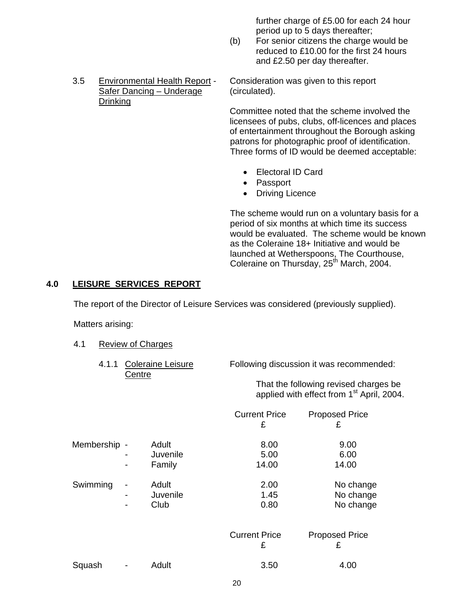further charge of £5.00 for each 24 hour period up to 5 days thereafter;

- (b) For senior citizens the charge would be reduced to £10.00 for the first 24 hours and £2.50 per day thereafter.
- 3.5 Environmental Health Report Consideration was given to this report Safer Dancing – Underage (circulated). Drinking

 Committee noted that the scheme involved the licensees of pubs, clubs, off-licences and places of entertainment throughout the Borough asking patrons for photographic proof of identification. Three forms of ID would be deemed acceptable:

- Electoral ID Card
- Passport
- Driving Licence

The scheme would run on a voluntary basis for a period of six months at which time its success would be evaluated. The scheme would be known as the Coleraine 18+ Initiative and would be launched at Wetherspoons, The Courthouse, Coleraine on Thursday,  $25<sup>th</sup>$  March, 2004.

#### **4.0 LEISURE SERVICES REPORT**

The report of the Director of Leisure Services was considered (previously supplied).

Matters arising:

- 4.1 Review of Charges
	- 4.1.1 Coleraine Leisure Following discussion it was recommended: **Centre**

 That the following revised charges be applied with effect from 1<sup>st</sup> April, 2004.

|              |             |                             |                      | <b>Current Price</b><br>£ | <b>Proposed Price</b><br>£          |
|--------------|-------------|-----------------------------|----------------------|---------------------------|-------------------------------------|
| Membership - |             | Adult<br>Juvenile<br>Family |                      | 8.00<br>5.00<br>14.00     | 9.00<br>6.00<br>14.00               |
| Swimming     | ۰<br>-<br>- | Adult<br>Juvenile<br>Club   |                      | 2.00<br>1.45<br>0.80      | No change<br>No change<br>No change |
|              |             |                             | <b>Current Price</b> | £                         | <b>Proposed Price</b><br>£          |
| Squash       |             | Adult                       |                      | 3.50                      | 4.00                                |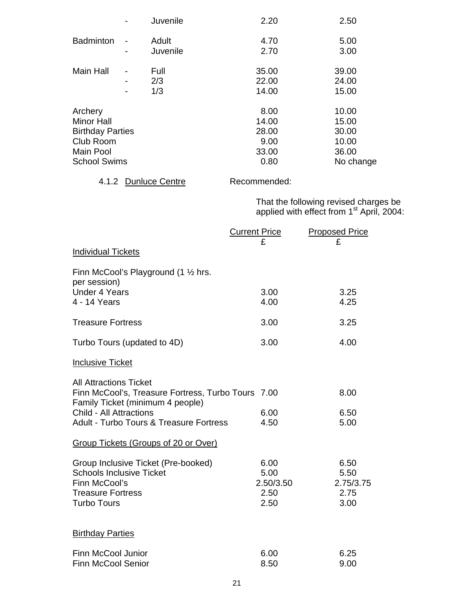|                         | Juvenile | 2.20  | 2.50      |
|-------------------------|----------|-------|-----------|
| <b>Badminton</b>        | Adult    | 4.70  | 5.00      |
|                         | Juvenile | 2.70  | 3.00      |
| <b>Main Hall</b>        | Full     | 35.00 | 39.00     |
|                         | 2/3      | 22.00 | 24.00     |
|                         | 1/3      | 14.00 | 15.00     |
| Archery                 |          | 8.00  | 10.00     |
| <b>Minor Hall</b>       |          | 14.00 | 15.00     |
| <b>Birthday Parties</b> |          | 28.00 | 30.00     |
| Club Room               |          | 9.00  | 10.00     |
| <b>Main Pool</b>        |          | 33.00 | 36.00     |
| <b>School Swims</b>     |          | 0.80  | No change |
|                         |          |       |           |

# 4.1.2 Dunluce Centre Recommended:

 That the following revised charges be applied with effect from 1<sup>st</sup> April, 2004:

|                                                                                        | <b>Current Price</b> | <b>Proposed Price</b> |
|----------------------------------------------------------------------------------------|----------------------|-----------------------|
| <b>Individual Tickets</b>                                                              | £                    | £                     |
|                                                                                        |                      |                       |
| Finn McCool's Playground (1 $\frac{1}{2}$ hrs.<br>per session)                         |                      |                       |
| <b>Under 4 Years</b>                                                                   | 3.00                 | 3.25                  |
| 4 - 14 Years                                                                           | 4.00                 | 4.25                  |
| <b>Treasure Fortress</b>                                                               | 3.00                 | 3.25                  |
| Turbo Tours (updated to 4D)                                                            | 3.00                 | 4.00                  |
| Inclusive Ticket                                                                       |                      |                       |
| <b>All Attractions Ticket</b>                                                          |                      |                       |
| Finn McCool's, Treasure Fortress, Turbo Tours 7.00<br>Family Ticket (minimum 4 people) |                      | 8.00                  |
| <b>Child - All Attractions</b>                                                         | 6.00                 | 6.50                  |
| <b>Adult - Turbo Tours &amp; Treasure Fortress</b>                                     | 4.50                 | 5.00                  |
| <b>Group Tickets (Groups of 20 or Over)</b>                                            |                      |                       |
| Group Inclusive Ticket (Pre-booked)                                                    | 6.00                 | 6.50                  |
| <b>Schools Inclusive Ticket</b>                                                        | 5.00                 | 5.50                  |
| Finn McCool's                                                                          | 2.50/3.50            | 2.75/3.75             |
| <b>Treasure Fortress</b><br><b>Turbo Tours</b>                                         | 2.50<br>2.50         | 2.75<br>3.00          |
|                                                                                        |                      |                       |
| <b>Birthday Parties</b>                                                                |                      |                       |
| <b>Finn McCool Junior</b>                                                              | 6.00                 | 6.25                  |
| <b>Finn McCool Senior</b>                                                              | 8.50                 | 9.00                  |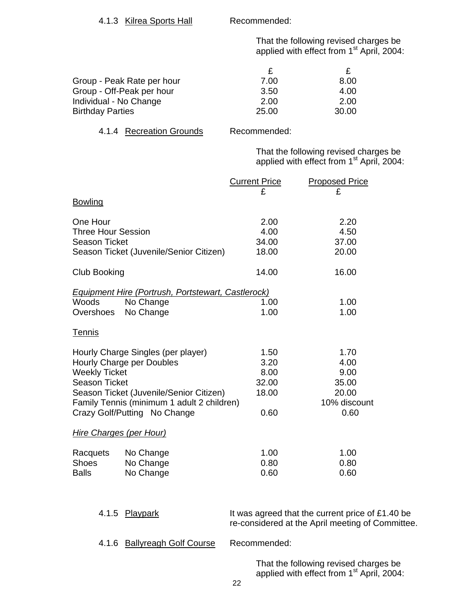That the following revised charges be applied with effect from 1<sup>st</sup> April, 2004:

| Group - Peak Rate per hour | 7.00  | 8.00  |
|----------------------------|-------|-------|
| Group - Off-Peak per hour  | 3.50  | 4.00  |
| Individual - No Change     | 2.00  | 2.00  |
| <b>Birthday Parties</b>    | 25.00 | 30.00 |

#### 4.1.4 Recreation Grounds Recommended:

 That the following revised charges be applied with effect from 1<sup>st</sup> April, 2004:

|                           |                                                    | <b>Current Price</b> | <b>Proposed Price</b>                            |
|---------------------------|----------------------------------------------------|----------------------|--------------------------------------------------|
|                           |                                                    | £                    | £                                                |
| <b>Bowling</b>            |                                                    |                      |                                                  |
| One Hour                  |                                                    | 2.00                 | 2.20                                             |
| <b>Three Hour Session</b> |                                                    | 4.00                 | 4.50                                             |
| <b>Season Ticket</b>      |                                                    | 34.00                | 37.00                                            |
|                           | Season Ticket (Juvenile/Senior Citizen)            | 18.00                | 20.00                                            |
| <b>Club Booking</b>       |                                                    | 14.00                | 16.00                                            |
|                           | Equipment Hire (Portrush, Portstewart, Castlerock) |                      |                                                  |
| Woods                     | No Change                                          | 1.00                 | 1.00                                             |
| Overshoes                 | No Change                                          | 1.00                 | 1.00                                             |
| Tennis                    |                                                    |                      |                                                  |
|                           | Hourly Charge Singles (per player)                 | 1.50                 | 1.70                                             |
|                           | Hourly Charge per Doubles                          | 3.20                 | 4.00                                             |
| <b>Weekly Ticket</b>      |                                                    | 8.00                 | 9.00                                             |
| <b>Season Ticket</b>      |                                                    | 32.00                | 35.00                                            |
|                           | Season Ticket (Juvenile/Senior Citizen)            | 18.00                | 20.00                                            |
|                           | Family Tennis (minimum 1 adult 2 children)         |                      | 10% discount                                     |
|                           | Crazy Golf/Putting No Change                       | 0.60                 | 0.60                                             |
|                           | Hire Charges (per Hour)                            |                      |                                                  |
| Racquets                  | No Change                                          | 1.00                 | 1.00                                             |
| <b>Shoes</b>              | No Change                                          | 0.80                 | 0.80                                             |
| <b>Balls</b>              | No Change                                          | 0.60                 | 0.60                                             |
|                           |                                                    |                      |                                                  |
| 4.1.5                     | Playpark                                           |                      | It was agreed that the current price of £1.40 be |

re-considered at the April meeting of Committee.

4.1.6 Ballyreagh Golf Course Recommended:

 That the following revised charges be applied with effect from 1<sup>st</sup> April, 2004: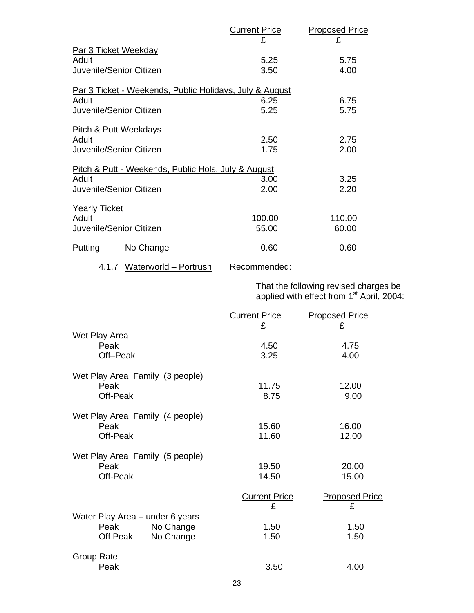|                               |                                                  | <b>Current Price</b>                                    | <b>Proposed Price</b> |
|-------------------------------|--------------------------------------------------|---------------------------------------------------------|-----------------------|
|                               |                                                  | £                                                       | £                     |
| Adult                         | Par 3 Ticket Weekday<br>Juvenile/Senior Citizen  | 5.25<br>3.50                                            | 5.75<br>4.00          |
|                               |                                                  | Par 3 Ticket - Weekends, Public Holidays, July & August |                       |
| Adult                         | Juvenile/Senior Citizen                          | 6.25<br>5.25                                            | 6.75<br>5.75          |
| Adult                         | Pitch & Putt Weekdays<br>Juvenile/Senior Citizen | 2.50<br>1.75                                            | 2.75<br>2.00          |
|                               |                                                  | Pitch & Putt - Weekends, Public Hols, July & August     |                       |
| Adult                         | Juvenile/Senior Citizen                          | 3.00<br>2.00                                            | 3.25<br>2.20          |
| <b>Yearly Ticket</b><br>Adult | Juvenile/Senior Citizen                          | 100.00<br>55.00                                         | 110.00<br>60.00       |
| Putting                       | No Change                                        | 0.60                                                    | 0.60                  |
|                               |                                                  |                                                         |                       |

4.1.7 Waterworld - Portrush Recommended:

 That the following revised charges be applied with effect from 1st April, 2004:

|                                                                               | <b>Current Price</b><br>£. | <b>Proposed Price</b><br>£ |
|-------------------------------------------------------------------------------|----------------------------|----------------------------|
| Wet Play Area<br>Peak<br>Off-Peak                                             | 4.50<br>3.25               | 4.75<br>4.00               |
| Wet Play Area Family (3 people)<br>Peak<br>Off-Peak                           | 11.75<br>8.75              | 12.00<br>9.00              |
| Wet Play Area Family (4 people)<br>Peak<br>Off-Peak                           | 15.60<br>11.60             | 16.00<br>12.00             |
| Wet Play Area Family (5 people)<br>Peak<br>Off-Peak                           | 19.50<br>14.50             | 20.00<br>15.00             |
|                                                                               | <b>Current Price</b><br>£  | <b>Proposed Price</b><br>£ |
| Water Play Area - under 6 years<br>No Change<br>Peak<br>No Change<br>Off Peak | 1.50<br>1.50               | 1.50<br>1.50               |
| Group Rate<br>Peak                                                            | 3.50                       | 4.00                       |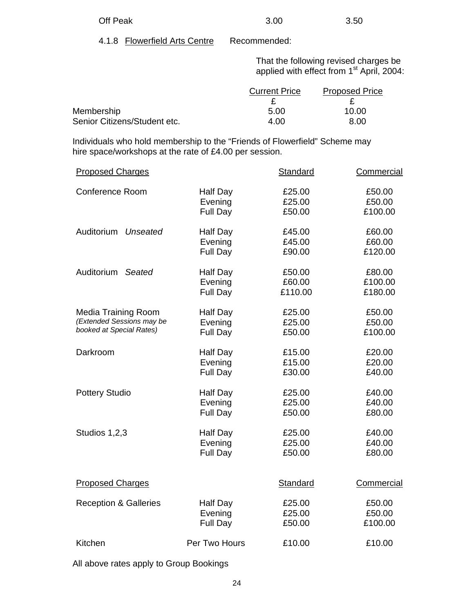| Off Peak | 3.00 | 3.50 |
|----------|------|------|

4.1.8 Flowerfield Arts Centre Recommended:

 That the following revised charges be applied with effect from 1<sup>st</sup> April, 2004:

|                              | <b>Current Price</b> | <b>Proposed Price</b> |
|------------------------------|----------------------|-----------------------|
|                              |                      |                       |
| Membership                   | 5.00                 | 10.00                 |
| Senior Citizens/Student etc. | 4.00                 | 8.00                  |

 Individuals who hold membership to the "Friends of Flowerfield" Scheme may hire space/workshops at the rate of £4.00 per session.

| <b>Proposed Charges</b>          |                                        | Standard                    | Commercial                   |
|----------------------------------|----------------------------------------|-----------------------------|------------------------------|
| <b>Conference Room</b>           | <b>Half Day</b>                        | £25.00                      | £50.00                       |
|                                  | Evening                                | £25.00                      | £50.00                       |
|                                  | Full Day                               | £50.00                      | £100.00                      |
| Auditorium Unseated              | <b>Half Day</b>                        | £45.00                      | £60.00                       |
|                                  | Evening                                | £45.00                      | £60.00                       |
|                                  | Full Day                               | £90.00                      | £120.00                      |
| Auditorium<br>Seated             | <b>Half Day</b><br>Evening<br>Full Day | £50.00<br>£60.00<br>£110.00 | £80.00<br>£100.00<br>£180.00 |
| Media Training Room              | <b>Half Day</b>                        | £25.00                      | £50.00                       |
| (Extended Sessions may be        | Evening                                | £25.00                      | £50.00                       |
| booked at Special Rates)         | Full Day                               | £50.00                      | £100.00                      |
| Darkroom                         | Half Day                               | £15.00                      | £20.00                       |
|                                  | Evening                                | £15.00                      | £20.00                       |
|                                  | Full Day                               | £30.00                      | £40.00                       |
| <b>Pottery Studio</b>            | <b>Half Day</b>                        | £25.00                      | £40.00                       |
|                                  | Evening                                | £25.00                      | £40.00                       |
|                                  | Full Day                               | £50.00                      | £80.00                       |
| Studios 1,2,3                    | <b>Half Day</b>                        | £25.00                      | £40.00                       |
|                                  | Evening                                | £25.00                      | £40.00                       |
|                                  | Full Day                               | £50.00                      | £80.00                       |
| <b>Proposed Charges</b>          |                                        | <b>Standard</b>             | <b>Commercial</b>            |
| <b>Reception &amp; Galleries</b> | Half Day                               | £25.00                      | £50.00                       |
|                                  | Evening                                | £25.00                      | £50.00                       |
|                                  | Full Day                               | £50.00                      | £100.00                      |
| Kitchen                          | Per Two Hours                          | £10.00                      | £10.00                       |
|                                  |                                        |                             |                              |

All above rates apply to Group Bookings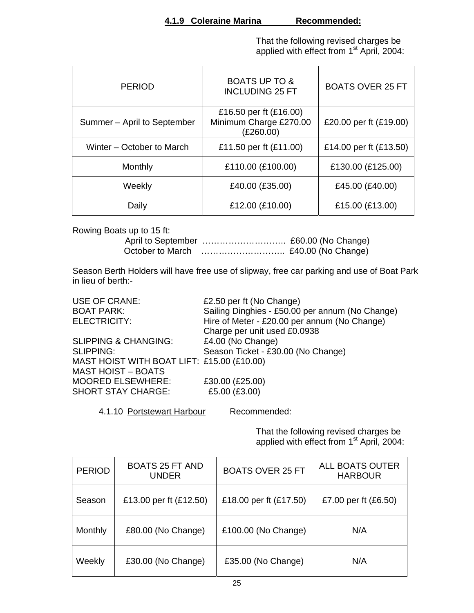That the following revised charges be applied with effect from 1<sup>st</sup> April, 2004:

| <b>PERIOD</b>               | <b>BOATS UP TO &amp;</b><br><b>INCLUDING 25 FT</b>            | <b>BOATS OVER 25 FT</b> |
|-----------------------------|---------------------------------------------------------------|-------------------------|
| Summer - April to September | £16.50 per ft (£16.00)<br>Minimum Charge £270.00<br>(£260.00) | £20.00 per ft (£19.00)  |
| Winter – October to March   | £11.50 per ft (£11.00)                                        | £14.00 per ft (£13.50)  |
| Monthly                     | £110.00 (£100.00)                                             | £130.00 (£125.00)       |
| Weekly                      | £40.00 (£35.00)                                               | £45.00 (£40.00)         |
| Daily                       | £12.00 (£10.00)                                               | £15.00 (£13.00)         |

Rowing Boats up to 15 ft:

 April to September ……………………….. £60.00 (No Change) October to March ……………………….. £40.00 (No Change)

Season Berth Holders will have free use of slipway, free car parking and use of Boat Park in lieu of berth:-

| USE OF CRANE:                              | £2.50 per ft (No Change)                        |
|--------------------------------------------|-------------------------------------------------|
| <b>BOAT PARK:</b>                          | Sailing Dinghies - £50.00 per annum (No Change) |
| ELECTRICITY:                               | Hire of Meter - £20.00 per annum (No Change)    |
|                                            | Charge per unit used £0.0938                    |
| <b>SLIPPING &amp; CHANGING:</b>            | £4.00 (No Change)                               |
| <b>SLIPPING:</b>                           | Season Ticket - £30.00 (No Change)              |
| MAST HOIST WITH BOAT LIFT: £15.00 (£10.00) |                                                 |
| <b>MAST HOIST - BOATS</b>                  |                                                 |
| <b>MOORED ELSEWHERE:</b>                   | £30.00 (£25.00)                                 |
| <b>SHORT STAY CHARGE:</b>                  | £5.00 (£3.00)                                   |
|                                            |                                                 |

4.1.10 Portstewart Harbour Recommended:

 That the following revised charges be applied with effect from 1<sup>st</sup> April, 2004:

| <b>PERIOD</b> | <b>BOATS 25 FT AND</b><br><b>UNDER</b> | <b>BOATS OVER 25 FT</b> | <b>ALL BOATS OUTER</b><br><b>HARBOUR</b> |
|---------------|----------------------------------------|-------------------------|------------------------------------------|
| Season        | £13.00 per ft (£12.50)                 | £18.00 per ft (£17.50)  | £7.00 per ft (£6.50)                     |
| Monthly       | £80.00 (No Change)                     | £100.00 (No Change)     | N/A                                      |
| Weekly        | £30.00 (No Change)                     | £35.00 (No Change)      | N/A                                      |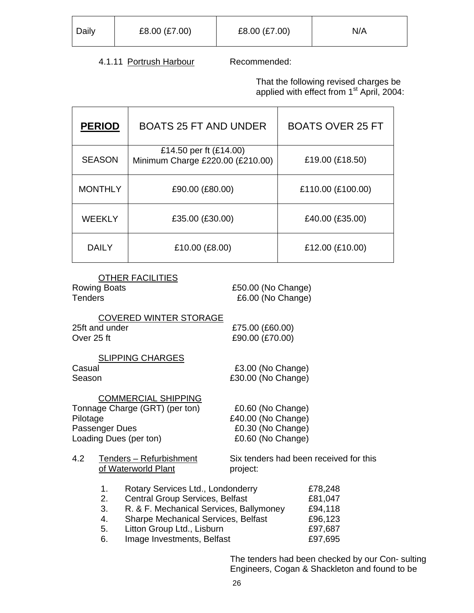| Daily | £8.00 (£7.00) | £8.00 (£7.00) | N/A |
|-------|---------------|---------------|-----|
|       |               |               |     |

# 4.1.11 Portrush Harbour Recommended:

 That the following revised charges be applied with effect from 1<sup>st</sup> April, 2004:

| <b>PERIOD</b>  | <b>BOATS 25 FT AND UNDER</b>                               | <b>BOATS OVER 25 FT</b> |
|----------------|------------------------------------------------------------|-------------------------|
| <b>SEASON</b>  | £14.50 per ft (£14.00)<br>Minimum Charge £220.00 (£210.00) | £19.00 (£18.50)         |
| <b>MONTHLY</b> | £90.00 (£80.00)                                            | £110.00 (£100.00)       |
| <b>WEEKLY</b>  | £35.00 (£30.00)                                            | £40.00 (£35.00)         |
| <b>DAILY</b>   | £10.00 (£8.00)                                             | £12.00 (£10.00)         |

| <b>OTHER FACILITIES</b><br><b>Rowing Boats</b><br><b>Tenders</b>                           | £50.00 (No Change)<br>£6.00 (No Change)                      |
|--------------------------------------------------------------------------------------------|--------------------------------------------------------------|
| <b>COVERED WINTER STORAGE</b><br>25ft and under<br>Over 25 ft                              | £75.00 (£60.00)<br>£90.00 (£70.00)                           |
| <b>SLIPPING CHARGES</b><br>Casual<br>Season                                                | £3.00 (No Change)<br>£30.00 (No Change)                      |
| <b>COMMERCIAL SHIPPING</b><br>Tonnage Charge (GRT) (per ton)<br>Pilotage<br>Passenger Dues | £0.60 (No Change)<br>£40.00 (No Change)<br>£0.30 (No Change) |

Loading Dues (per ton)  $£0.60$  (No Change)

| 4.2 | Tenders - Refurbishment | Six tenders had been received for this |
|-----|-------------------------|----------------------------------------|
|     | of Waterworld Plant     | project:                               |
|     |                         |                                        |

| 1. | Rotary Services Ltd., Londonderry          | £78,248 |
|----|--------------------------------------------|---------|
| 2. | <b>Central Group Services, Belfast</b>     | £81,047 |
| 3. | R. & F. Mechanical Services, Ballymoney    | £94,118 |
| 4. | <b>Sharpe Mechanical Services, Belfast</b> | £96,123 |
| 5. | Litton Group Ltd., Lisburn                 | £97,687 |
| 6. | Image Investments, Belfast                 | £97,695 |

The tenders had been checked by our Con- sulting Engineers, Cogan & Shackleton and found to be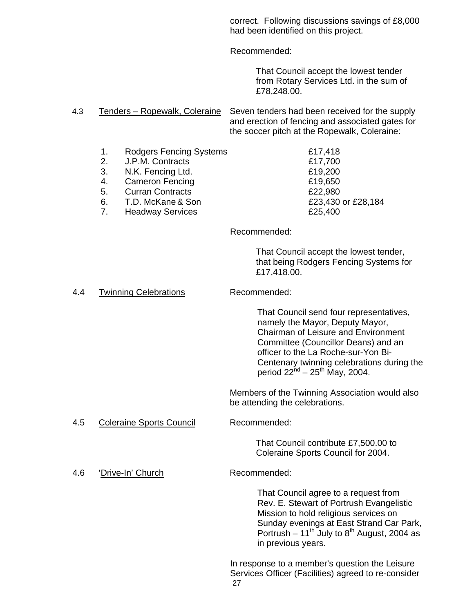correct. Following discussions savings of £8,000 had been identified on this project.

Recommended:

That Council accept the lowest tender from Rotary Services Ltd. in the sum of £78,248.00.

4.3 Tenders – Ropewalk, Coleraine Seven tenders had been received for the supply and erection of fencing and associated gates for the soccer pitch at the Ropewalk, Coleraine:

- 1. Rodgers Fencing Systems £17,418
- 2. J.P.M. Contracts £17,700
- 3. N.K. Fencing Ltd. £19,200
- 4. Cameron Fencing **E19,650**
- 5. Curran Contracts £22,980
- 6. T.D. McKane & Son **E23,430** or £28,184
- 7. Headway Services **E25,400**

Recommended:

That Council accept the lowest tender, that being Rodgers Fencing Systems for £17,418.00.

4.4 Twinning Celebrations Recommended:

That Council send four representatives, namely the Mayor, Deputy Mayor, Chairman of Leisure and Environment Committee (Councillor Deans) and an officer to the La Roche-sur-Yon Bi-Centenary twinning celebrations during the period  $22^{nd} - 25^{th}$  May, 2004.

Members of the Twinning Association would also be attending the celebrations.

4.5 Coleraine Sports Council Recommended:

That Council contribute £7,500.00 to Coleraine Sports Council for 2004.

4.6 'Drive-In' Church Recommended:

That Council agree to a request from Rev. E. Stewart of Portrush Evangelistic Mission to hold religious services on Sunday evenings at East Strand Car Park, Portrush – 11<sup>th</sup> July to 8<sup>th</sup> August, 2004 as in previous years.

27 In response to a member's question the Leisure Services Officer (Facilities) agreed to re-consider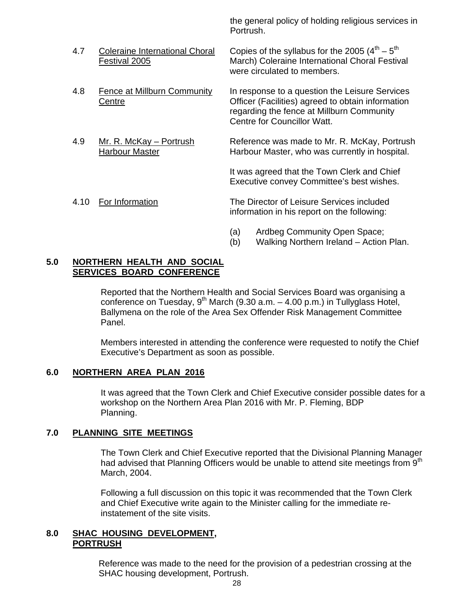the general policy of holding religious services in Portrush.

- 4.7 Coleraine International Choral Copies of the syllabus for the 2005  $(4^{th} 5^{th})$  Festival 2005 March) Coleraine International Choral Festival were circulated to members.
- 4.8 Fence at Millburn Community In response to a question the Leisure Services Centre Officer (Facilities) agreed to obtain information regarding the fence at Millburn Community
- 4.9 Mr. R. McKay Portrush Reference was made to Mr. R. McKay, Portrush Harbour Master **Harbour Master, who was currently in hospital.**

Centre for Councillor Watt.

 It was agreed that the Town Clerk and Chief Executive convey Committee's best wishes.

- 4.10 For Information The Director of Leisure Services included information in his report on the following:
	- (a) Ardbeg Community Open Space;
	- (b) Walking Northern Ireland Action Plan.

#### **5.0 NORTHERN HEALTH AND SOCIAL SERVICES BOARD CONFERENCE**

Reported that the Northern Health and Social Services Board was organising a conference on Tuesday,  $9^{th}$  March (9.30 a.m.  $-$  4.00 p.m.) in Tullyglass Hotel, Ballymena on the role of the Area Sex Offender Risk Management Committee Panel.

Members interested in attending the conference were requested to notify the Chief Executive's Department as soon as possible.

#### **6.0 NORTHERN AREA PLAN 2016**

It was agreed that the Town Clerk and Chief Executive consider possible dates for a workshop on the Northern Area Plan 2016 with Mr. P. Fleming, BDP Planning.

#### **7.0 PLANNING SITE MEETINGS**

The Town Clerk and Chief Executive reported that the Divisional Planning Manager had advised that Planning Officers would be unable to attend site meetings from  $9<sup>th</sup>$ March, 2004.

Following a full discussion on this topic it was recommended that the Town Clerk and Chief Executive write again to the Minister calling for the immediate reinstatement of the site visits.

#### **8.0 SHAC HOUSING DEVELOPMENT, PORTRUSH**

 Reference was made to the need for the provision of a pedestrian crossing at the SHAC housing development, Portrush.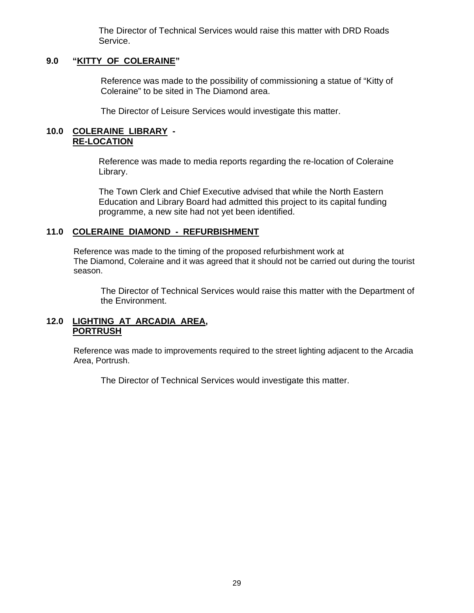The Director of Technical Services would raise this matter with DRD Roads Service.

#### **9.0 "KITTY OF COLERAINE"**

Reference was made to the possibility of commissioning a statue of "Kitty of Coleraine" to be sited in The Diamond area.

The Director of Leisure Services would investigate this matter.

#### **10.0 COLERAINE LIBRARY - RE-LOCATION**

 Reference was made to media reports regarding the re-location of Coleraine Library.

 The Town Clerk and Chief Executive advised that while the North Eastern Education and Library Board had admitted this project to its capital funding programme, a new site had not yet been identified.

#### **11.0 COLERAINE DIAMOND - REFURBISHMENT**

Reference was made to the timing of the proposed refurbishment work at The Diamond, Coleraine and it was agreed that it should not be carried out during the tourist season.

The Director of Technical Services would raise this matter with the Department of the Environment.

### **12.0 LIGHTING AT ARCADIA AREA, PORTRUSH**

Reference was made to improvements required to the street lighting adjacent to the Arcadia Area, Portrush.

The Director of Technical Services would investigate this matter.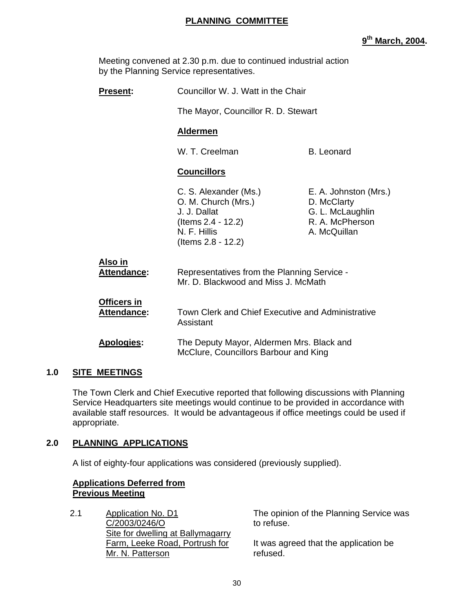## **PLANNING COMMITTEE**

**9th March, 2004.** 

Meeting convened at 2.30 p.m. due to continued industrial action by the Planning Service representatives.

| <b>Present:</b>                          | Councillor W. J. Watt in the Chair                                                                                       |                                                                                             |
|------------------------------------------|--------------------------------------------------------------------------------------------------------------------------|---------------------------------------------------------------------------------------------|
|                                          | The Mayor, Councillor R. D. Stewart                                                                                      |                                                                                             |
|                                          | <b>Aldermen</b>                                                                                                          |                                                                                             |
|                                          | W. T. Creelman                                                                                                           | <b>B.</b> Leonard                                                                           |
|                                          | <b>Councillors</b>                                                                                                       |                                                                                             |
|                                          | C. S. Alexander (Ms.)<br>O. M. Church (Mrs.)<br>J. J. Dallat<br>(Items 2.4 - 12.2)<br>N. F. Hillis<br>(Items 2.8 - 12.2) | E. A. Johnston (Mrs.)<br>D. McClarty<br>G. L. McLaughlin<br>R. A. McPherson<br>A. McQuillan |
| Also in<br><b>Attendance:</b>            | Representatives from the Planning Service -<br>Mr. D. Blackwood and Miss J. McMath                                       |                                                                                             |
| <b>Officers in</b><br><b>Attendance:</b> | Town Clerk and Chief Executive and Administrative<br>Assistant                                                           |                                                                                             |
| <b>Apologies:</b>                        | The Deputy Mayor, Aldermen Mrs. Black and<br>McClure, Councillors Barbour and King                                       |                                                                                             |

# **1.0 SITE MEETINGS**

 The Town Clerk and Chief Executive reported that following discussions with Planning Service Headquarters site meetings would continue to be provided in accordance with available staff resources. It would be advantageous if office meetings could be used if appropriate.

# **2.0 PLANNING APPLICATIONS**

A list of eighty-four applications was considered (previously supplied).

#### **Applications Deferred from Previous Meeting**

2.1 Application No. D1 C/2003/0246/O Site for dwelling at Ballymagarry Farm, Leeke Road, Portrush for Mr. N. Patterson

The opinion of the Planning Service was to refuse.

It was agreed that the application be refused.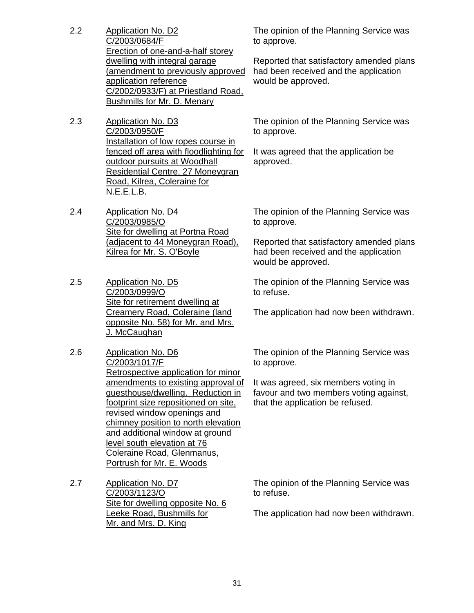- 2.2 Application No. D2 C/2003/0684/F Erection of one-and-a-half storey dwelling with integral garage (amendment to previously approved application reference C/2002/0933/F) at Priestland Road, Bushmills for Mr. D. Menary
- 2.3 Application No. D3 C/2003/0950/F Installation of low ropes course in fenced off area with floodlighting for outdoor pursuits at Woodhall Residential Centre, 27 Moneygran Road, Kilrea, Coleraine for N.E.E.L.B.
- 2.4 Application No. D4 C/2003/0985/O Site for dwelling at Portna Road (adjacent to 44 Moneygran Road), Kilrea for Mr. S. O'Boyle
- 2.5 Application No. D5 C/2003/0999/O Site for retirement dwelling at Creamery Road, Coleraine (land opposite No. 58) for Mr. and Mrs. J. McCaughan
- 2.6 Application No. D6 C/2003/1017/F Retrospective application for minor amendments to existing approval of guesthouse/dwelling. Reduction in footprint size repositioned on site, revised window openings and chimney position to north elevation and additional window at ground level south elevation at 76 Coleraine Road, Glenmanus, Portrush for Mr. E. Woods

2.7 Application No. D7 C/2003/1123/O Site for dwelling opposite No. 6 Leeke Road, Bushmills for Mr. and Mrs. D. King

The opinion of the Planning Service was to approve.

Reported that satisfactory amended plans had been received and the application would be approved.

The opinion of the Planning Service was to approve.

It was agreed that the application be approved.

The opinion of the Planning Service was to approve.

Reported that satisfactory amended plans had been received and the application would be approved.

The opinion of the Planning Service was to refuse.

The application had now been withdrawn.

The opinion of the Planning Service was to approve.

It was agreed, six members voting in favour and two members voting against, that the application be refused.

The opinion of the Planning Service was to refuse.

The application had now been withdrawn.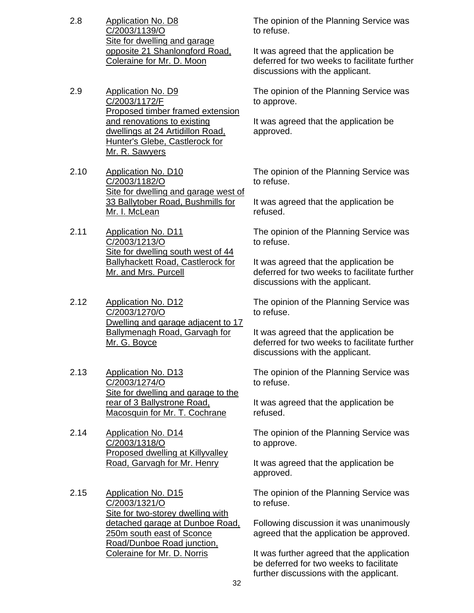- 2.8 Application No. D8 C/2003/1139/O Site for dwelling and garage opposite 21 Shanlongford Road, Coleraine for Mr. D. Moon
- 2.9 Application No. D9 C/2003/1172/F Proposed timber framed extension and renovations to existing dwellings at 24 Artidillon Road, Hunter's Glebe, Castlerock for Mr. R. Sawyers
- 2.10 Application No. D10 C/2003/1182/O Site for dwelling and garage west of 33 Ballytober Road, Bushmills for Mr. I. McLean
- 2.11 Application No. D11 C/2003/1213/O Site for dwelling south west of 44 Ballyhackett Road, Castlerock for Mr. and Mrs. Purcell
- 2.12 Application No. D12 C/2003/1270/O Dwelling and garage adjacent to 17 Ballymenagh Road, Garvagh for Mr. G. Boyce
- 2.13 Application No. D13 C/2003/1274/O Site for dwelling and garage to the rear of 3 Ballystrone Road, Macosquin for Mr. T. Cochrane
- 2.14 Application No. D14 C/2003/1318/O Proposed dwelling at Killyvalley Road, Garvagh for Mr. Henry
- 2.15 Application No. D15 C/2003/1321/O Site for two-storey dwelling with detached garage at Dunboe Road, 250m south east of Sconce Road/Dunboe Road junction, Coleraine for Mr. D. Norris

The opinion of the Planning Service was to refuse.

It was agreed that the application be deferred for two weeks to facilitate further discussions with the applicant.

The opinion of the Planning Service was to approve.

It was agreed that the application be approved.

The opinion of the Planning Service was to refuse.

It was agreed that the application be refused.

The opinion of the Planning Service was to refuse.

It was agreed that the application be deferred for two weeks to facilitate further discussions with the applicant.

The opinion of the Planning Service was to refuse.

It was agreed that the application be deferred for two weeks to facilitate further discussions with the applicant.

The opinion of the Planning Service was to refuse.

It was agreed that the application be refused.

The opinion of the Planning Service was to approve.

It was agreed that the application be approved.

The opinion of the Planning Service was to refuse.

Following discussion it was unanimously agreed that the application be approved.

It was further agreed that the application be deferred for two weeks to facilitate further discussions with the applicant.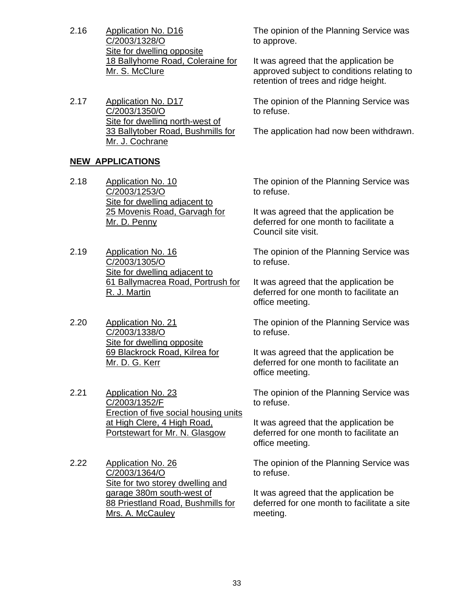- 2.16 Application No. D16 C/2003/1328/O Site for dwelling opposite 18 Ballyhome Road, Coleraine for Mr. S. McClure
- 2.17 Application No. D17 C/2003/1350/O Site for dwelling north-west of 33 Ballytober Road, Bushmills for Mr. J. Cochrane

### **NEW APPLICATIONS**

- 2.18 Application No. 10 C/2003/1253/O Site for dwelling adjacent to 25 Movenis Road, Garvagh for Mr. D. Penny
- 2.19 Application No. 16 C/2003/1305/O Site for dwelling adjacent to 61 Ballymacrea Road, Portrush for R. J. Martin
- 2.20 Application No. 21 C/2003/1338/O Site for dwelling opposite 69 Blackrock Road, Kilrea for Mr. D. G. Kerr
- 2.21 Application No. 23 C/2003/1352/F Erection of five social housing units at High Clere, 4 High Road, Portstewart for Mr. N. Glasgow
- 2.22 Application No. 26 C/2003/1364/O Site for two storey dwelling and garage 380m south-west of 88 Priestland Road, Bushmills for Mrs. A. McCauley

The opinion of the Planning Service was to approve.

It was agreed that the application be approved subject to conditions relating to retention of trees and ridge height.

The opinion of the Planning Service was to refuse.

The application had now been withdrawn.

The opinion of the Planning Service was to refuse.

It was agreed that the application be deferred for one month to facilitate a Council site visit.

The opinion of the Planning Service was to refuse.

It was agreed that the application be deferred for one month to facilitate an office meeting.

The opinion of the Planning Service was to refuse.

It was agreed that the application be deferred for one month to facilitate an office meeting.

The opinion of the Planning Service was to refuse.

It was agreed that the application be deferred for one month to facilitate an office meeting.

The opinion of the Planning Service was to refuse.

It was agreed that the application be deferred for one month to facilitate a site meeting.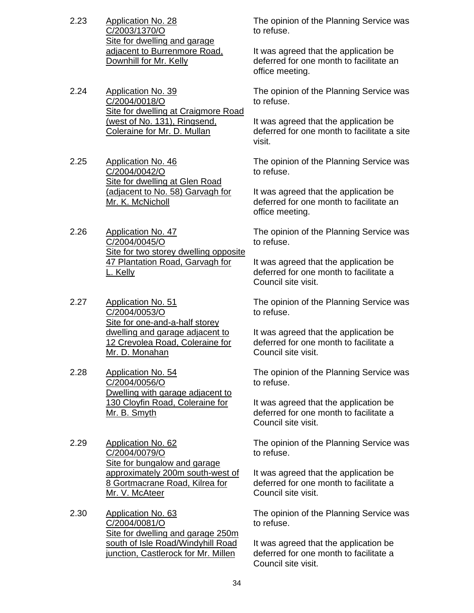- 2.23 Application No. 28 C/2003/1370/O Site for dwelling and garage adjacent to Burrenmore Road, Downhill for Mr. Kelly
- 2.24 Application No. 39 C/2004/0018/O Site for dwelling at Craigmore Road (west of No. 131), Ringsend, Coleraine for Mr. D. Mullan
- 2.25 Application No. 46 C/2004/0042/O Site for dwelling at Glen Road (adjacent to No. 58) Garvagh for Mr. K. McNicholl
- 2.26 Application No. 47 C/2004/0045/O Site for two storey dwelling opposite 47 Plantation Road, Garvagh for L. Kelly
- 2.27 Application No. 51 C/2004/0053/O Site for one-and-a-half storey dwelling and garage adjacent to 12 Crevolea Road, Coleraine for Mr. D. Monahan
- 2.28 Application No. 54 C/2004/0056/O Dwelling with garage adjacent to 130 Cloyfin Road, Coleraine for Mr. B. Smyth
- 2.29 Application No. 62 C/2004/0079/O Site for bungalow and garage approximately 200m south-west of 8 Gortmacrane Road, Kilrea for Mr. V. McAteer
- 2.30 Application No. 63 C/2004/0081/O Site for dwelling and garage 250m south of Isle Road/Windyhill Road junction, Castlerock for Mr. Millen

The opinion of the Planning Service was to refuse.

It was agreed that the application be deferred for one month to facilitate an office meeting.

The opinion of the Planning Service was to refuse.

It was agreed that the application be deferred for one month to facilitate a site visit.

The opinion of the Planning Service was to refuse.

It was agreed that the application be deferred for one month to facilitate an office meeting.

The opinion of the Planning Service was to refuse.

It was agreed that the application be deferred for one month to facilitate a Council site visit.

The opinion of the Planning Service was to refuse.

It was agreed that the application be deferred for one month to facilitate a Council site visit.

The opinion of the Planning Service was to refuse.

It was agreed that the application be deferred for one month to facilitate a Council site visit.

The opinion of the Planning Service was to refuse.

It was agreed that the application be deferred for one month to facilitate a Council site visit.

The opinion of the Planning Service was to refuse.

It was agreed that the application be deferred for one month to facilitate a Council site visit.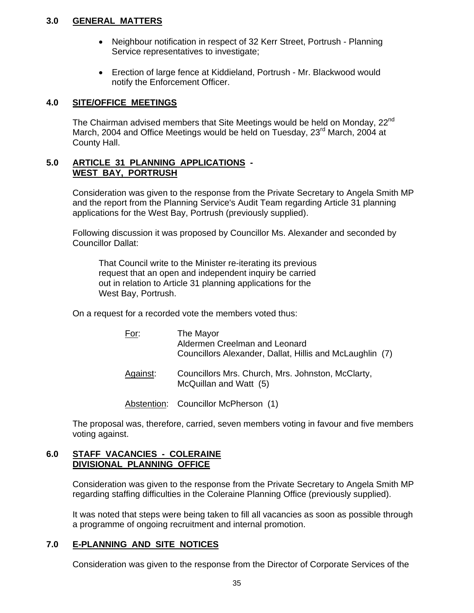### **3.0 GENERAL MATTERS**

- Neighbour notification in respect of 32 Kerr Street, Portrush Planning Service representatives to investigate;
- Erection of large fence at Kiddieland, Portrush Mr. Blackwood would notify the Enforcement Officer.

### **4.0 SITE/OFFICE MEETINGS**

The Chairman advised members that Site Meetings would be held on Monday, 22<sup>nd</sup> March, 2004 and Office Meetings would be held on Tuesday, 23<sup>rd</sup> March, 2004 at County Hall.

#### **5.0 ARTICLE 31 PLANNING APPLICATIONS - WEST BAY, PORTRUSH**

Consideration was given to the response from the Private Secretary to Angela Smith MP and the report from the Planning Service's Audit Team regarding Article 31 planning applications for the West Bay, Portrush (previously supplied).

Following discussion it was proposed by Councillor Ms. Alexander and seconded by Councillor Dallat:

 That Council write to the Minister re-iterating its previous request that an open and independent inquiry be carried out in relation to Article 31 planning applications for the West Bay, Portrush.

On a request for a recorded vote the members voted thus:

| For:     | The Mayor<br>Aldermen Creelman and Leonard<br>Councillors Alexander, Dallat, Hillis and McLaughlin (7) |
|----------|--------------------------------------------------------------------------------------------------------|
| Against: | Councillors Mrs. Church, Mrs. Johnston, McClarty,<br>McQuillan and Watt (5)                            |

Abstention: Councillor McPherson (1)

The proposal was, therefore, carried, seven members voting in favour and five members voting against.

#### **6.0 STAFF VACANCIES - COLERAINE DIVISIONAL PLANNING OFFICE**

Consideration was given to the response from the Private Secretary to Angela Smith MP regarding staffing difficulties in the Coleraine Planning Office (previously supplied).

It was noted that steps were being taken to fill all vacancies as soon as possible through a programme of ongoing recruitment and internal promotion.

# **7.0 E-PLANNING AND SITE NOTICES**

Consideration was given to the response from the Director of Corporate Services of the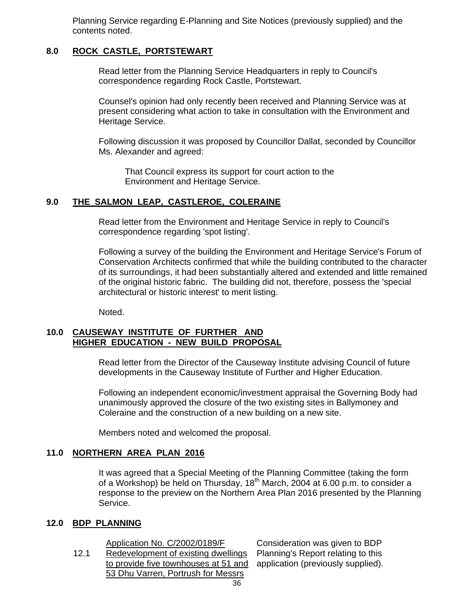Planning Service regarding E-Planning and Site Notices (previously supplied) and the contents noted.

### **8.0 ROCK CASTLE, PORTSTEWART**

 Read letter from the Planning Service Headquarters in reply to Council's correspondence regarding Rock Castle, Portstewart.

Counsel's opinion had only recently been received and Planning Service was at present considering what action to take in consultation with the Environment and Heritage Service.

Following discussion it was proposed by Councillor Dallat, seconded by Councillor Ms. Alexander and agreed:

 That Council express its support for court action to the Environment and Heritage Service.

#### **9.0 THE SALMON LEAP, CASTLEROE, COLERAINE**

Read letter from the Environment and Heritage Service in reply to Council's correspondence regarding 'spot listing'.

Following a survey of the building the Environment and Heritage Service's Forum of Conservation Architects confirmed that while the building contributed to the character of its surroundings, it had been substantially altered and extended and little remained of the original historic fabric. The building did not, therefore, possess the 'special architectural or historic interest' to merit listing.

Noted.

#### **10.0 CAUSEWAY INSTITUTE OF FURTHER AND HIGHER EDUCATION - NEW BUILD PROPOSAL**

Read letter from the Director of the Causeway Institute advising Council of future developments in the Causeway Institute of Further and Higher Education.

Following an independent economic/investment appraisal the Governing Body had unanimously approved the closure of the two existing sites in Ballymoney and Coleraine and the construction of a new building on a new site.

Members noted and welcomed the proposal.

#### **11.0 NORTHERN AREA PLAN 2016**

 It was agreed that a Special Meeting of the Planning Committee (taking the form of a Workshop) be held on Thursday,  $18<sup>th</sup>$  March, 2004 at 6.00 p.m. to consider a response to the preview on the Northern Area Plan 2016 presented by the Planning Service.

#### **12.0 BDP PLANNING**

Application No. C/2002/0189/F

12.1 Redevelopment of existing dwellings to provide five townhouses at 51 and 53 Dhu Varren, Portrush for Messrs

Consideration was given to BDP Planning's Report relating to this application (previously supplied).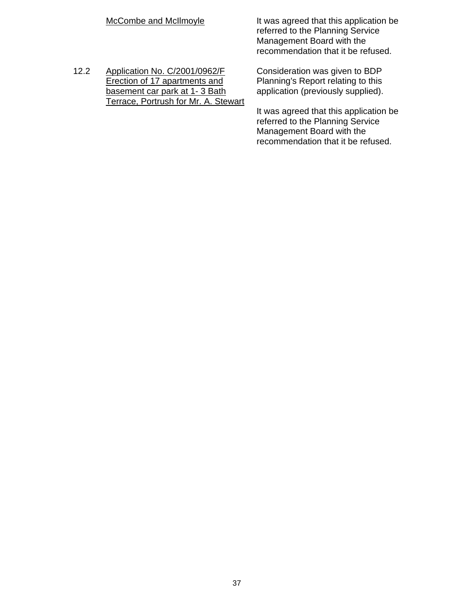|      | McCombe and McIlmoyle                                                                                                                   | It was agreed that this application be<br>referred to the Planning Service<br>Management Board with the<br>recommendation that it be refused. |
|------|-----------------------------------------------------------------------------------------------------------------------------------------|-----------------------------------------------------------------------------------------------------------------------------------------------|
| 12.2 | Application No. C/2001/0962/F<br>Erection of 17 apartments and<br>basement car park at 1-3 Bath<br>Terrace, Portrush for Mr. A. Stewart | Consideration was given to BDP<br>Planning's Report relating to this<br>application (previously supplied).                                    |
|      |                                                                                                                                         | It was agreed that this application be<br>referred to the Planning Service<br>Management Board with the<br>recommendation that it be refused. |
|      |                                                                                                                                         |                                                                                                                                               |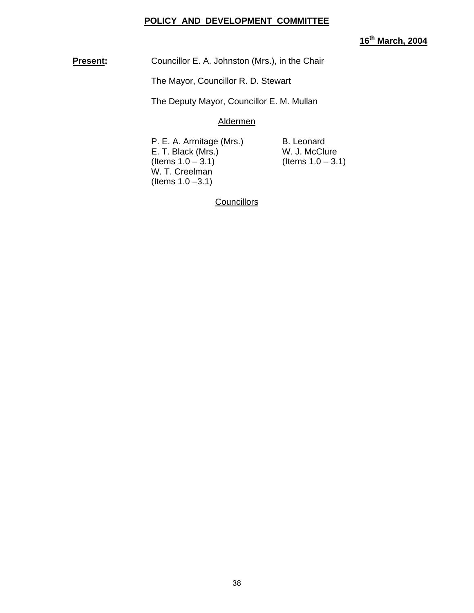#### **POLICY AND DEVELOPMENT COMMITTEE**

# **16th March, 2004**

**Present:** Councillor E. A. Johnston (Mrs.), in the Chair

The Mayor, Councillor R. D. Stewart

The Deputy Mayor, Councillor E. M. Mullan

Aldermen

P. E. A. Armitage (Mrs.) B. Leonard E. T. Black (Mrs.)  $\hspace{1cm}$  W. J. McClure (Items 1.0 – 3.1) (Items 1.0 – 3. W. T. Creelman (Items 1.0 –3.1)

 $($  Items 1.0 – 3.1)

**Councillors**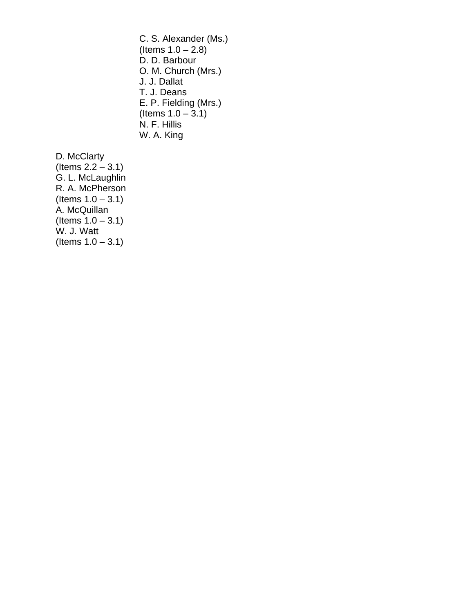C. S. Alexander (Ms.) (Items  $1.0 - 2.8$ ) D. D. Barbour O. M. Church (Mrs.) J. J. Dallat T. J. Deans E. P. Fielding (Mrs.)  $($ ltems 1.0 – 3.1) N. F. Hillis W. A. King

D. McClarty (Items  $2.2 - 3.1$ ) G. L. McLaughlin R. A. McPherson (Items  $1.0 - 3.1$ ) A. McQuillan  $($ ltems  $1.0 - 3.1)$ W. J. Watt  $($  ltems  $1.0 - 3.1)$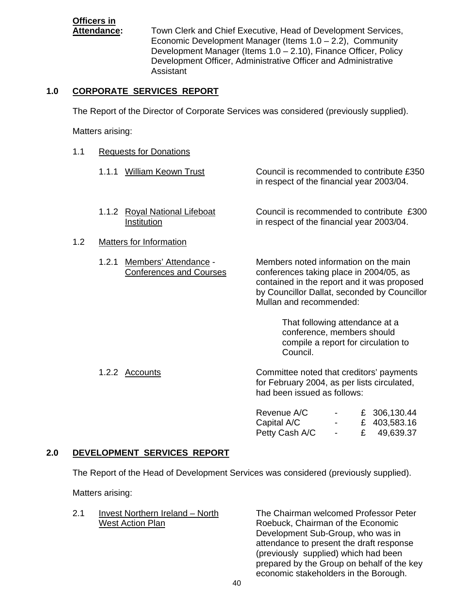# **Officers in**

**Attendance:** Town Clerk and Chief Executive, Head of Development Services, Economic Development Manager (Items 1.0 – 2.2), Community Development Manager (Items 1.0 – 2.10), Finance Officer, Policy Development Officer, Administrative Officer and Administrative Assistant

# **1.0 CORPORATE SERVICES REPORT**

The Report of the Director of Corporate Services was considered (previously supplied).

Matters arising:

- 1.1 Requests for Donations
	- 1.1.1 William Keown Trust Council is recommended to contribute £350 in respect of the financial year 2003/04.
	- 1.1.2 Royal National Lifeboat Council is recommended to contribute £300 Institution in respect of the financial year 2003/04.
- 1.2 Matters for Information
	- 1.2.1 Members' Attendance Members noted information on the main Conferences and Courses conferences taking place in 2004/05, as

 contained in the report and it was proposed by Councillor Dallat, seconded by Councillor Mullan and recommended:

> That following attendance at a conference, members should compile a report for circulation to Council.

1.2.2 Accounts Committee noted that creditors' payments for February 2004, as per lists circulated, had been issued as follows:

| Revenue A/C    | <b>Contract Contract</b>          | £ 306,130.44 |
|----------------|-----------------------------------|--------------|
| Capital A/C    | <b>Contract Contract Contract</b> | £ 403,583.16 |
| Petty Cash A/C |                                   | £ 49,639.37  |

# **2.0 DEVELOPMENT SERVICES REPORT**

The Report of the Head of Development Services was considered (previously supplied).

Matters arising:

| 2.1 | Invest Northern Ireland - North |
|-----|---------------------------------|
|     | <b>West Action Plan</b>         |

The Chairman welcomed Professor Peter Roebuck, Chairman of the Economic Development Sub-Group, who was in attendance to present the draft response (previously supplied) which had been prepared by the Group on behalf of the key economic stakeholders in the Borough.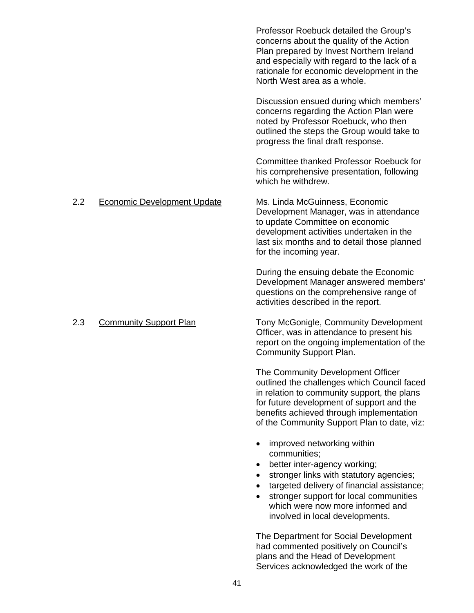Professor Roebuck detailed the Group's concerns about the quality of the Action Plan prepared by Invest Northern Ireland and especially with regard to the lack of a rationale for economic development in the North West area as a whole.

Discussion ensued during which members' concerns regarding the Action Plan were noted by Professor Roebuck, who then outlined the steps the Group would take to progress the final draft response.

Committee thanked Professor Roebuck for his comprehensive presentation, following which he withdrew.

# 2.2 Economic Development Update Ms. Linda McGuinness, Economic

Development Manager, was in attendance to update Committee on economic development activities undertaken in the last six months and to detail those planned for the incoming year.

During the ensuing debate the Economic Development Manager answered members' questions on the comprehensive range of activities described in the report.

 2.3 Community Support Plan Tony McGonigle, Community Development Officer, was in attendance to present his report on the ongoing implementation of the Community Support Plan.

> The Community Development Officer outlined the challenges which Council faced in relation to community support, the plans for future development of support and the benefits achieved through implementation of the Community Support Plan to date, viz:

- improved networking within communities;
- better inter-agency working;
- stronger links with statutory agencies;
- targeted delivery of financial assistance;
- stronger support for local communities which were now more informed and involved in local developments.

The Department for Social Development had commented positively on Council's plans and the Head of Development Services acknowledged the work of the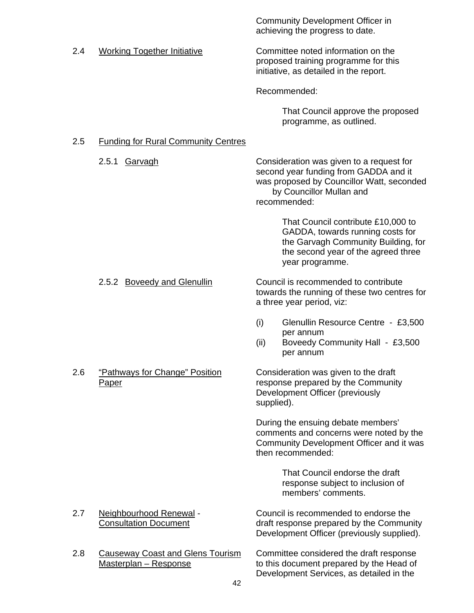|     |                                                                  | <b>Community Development Officer in</b><br>achieving the progress to date.                                                                                                 |
|-----|------------------------------------------------------------------|----------------------------------------------------------------------------------------------------------------------------------------------------------------------------|
| 2.4 | <b>Working Together Initiative</b>                               | Committee noted information on the<br>proposed training programme for this<br>initiative, as detailed in the report.                                                       |
|     |                                                                  | Recommended:                                                                                                                                                               |
|     |                                                                  | That Council approve the proposed<br>programme, as outlined.                                                                                                               |
| 2.5 | <b>Funding for Rural Community Centres</b>                       |                                                                                                                                                                            |
|     | 2.5.1<br><b>Garvagh</b>                                          | Consideration was given to a request for<br>second year funding from GADDA and it<br>was proposed by Councillor Watt, seconded<br>by Councillor Mullan and<br>recommended: |
|     |                                                                  | That Council contribute £10,000 to<br>GADDA, towards running costs for<br>the Garvagh Community Building, for<br>the second year of the agreed three<br>year programme.    |
|     | 2.5.2 Boveedy and Glenullin                                      | Council is recommended to contribute<br>towards the running of these two centres for<br>a three year period, viz:                                                          |
|     |                                                                  | (i)<br>Glenullin Resource Centre - £3,500<br>per annum<br>(ii)<br>Boveedy Community Hall - £3,500<br>per annum                                                             |
| 2.6 | "Pathways for Change" Position<br><b>Paper</b>                   | Consideration was given to the draft<br>response prepared by the Community<br>Development Officer (previously<br>supplied).                                                |
|     |                                                                  | During the ensuing debate members'<br>comments and concerns were noted by the<br>Community Development Officer and it was<br>then recommended:                             |
|     |                                                                  | That Council endorse the draft<br>response subject to inclusion of<br>members' comments.                                                                                   |
| 2.7 | Neighbourhood Renewal -<br><b>Consultation Document</b>          | Council is recommended to endorse the<br>draft response prepared by the Community<br>Development Officer (previously supplied).                                            |
| 2.8 | <b>Causeway Coast and Glens Tourism</b><br>Masterplan - Response | Committee considered the draft response<br>to this document prepared by the Head of<br>Development Services, as detailed in the                                            |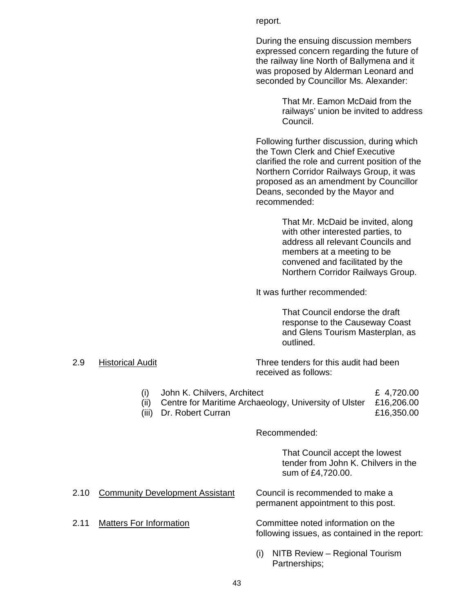report.

During the ensuing discussion members expressed concern regarding the future of the railway line North of Ballymena and it was proposed by Alderman Leonard and seconded by Councillor Ms. Alexander:

> That Mr. Eamon McDaid from the railways' union be invited to address Council.

Following further discussion, during which the Town Clerk and Chief Executive clarified the role and current position of the Northern Corridor Railways Group, it was proposed as an amendment by Councillor Deans, seconded by the Mayor and recommended:

> That Mr. McDaid be invited, along with other interested parties, to address all relevant Councils and members at a meeting to be convened and facilitated by the Northern Corridor Railways Group.

It was further recommended:

 That Council endorse the draft response to the Causeway Coast and Glens Tourism Masterplan, as outlined.

 2.9 Historical Audit Three tenders for this audit had been received as follows:

(i) John K. Chilvers, Architect  $\epsilon$  4,720.00

- (ii) Centre for Maritime Archaeology, University of Ulster £16,206.00
- (iii) Dr. Robert Curran **£16,350.00**

#### Recommended:

That Council accept the lowest tender from John K. Chilvers in the sum of £4,720.00.

- 2.10 Community Development Assistant Council is recommended to make a
- 

permanent appointment to this post.

2.11 Matters For Information Committee noted information on the following issues, as contained in the report:

> (i) NITB Review – Regional Tourism Partnerships;